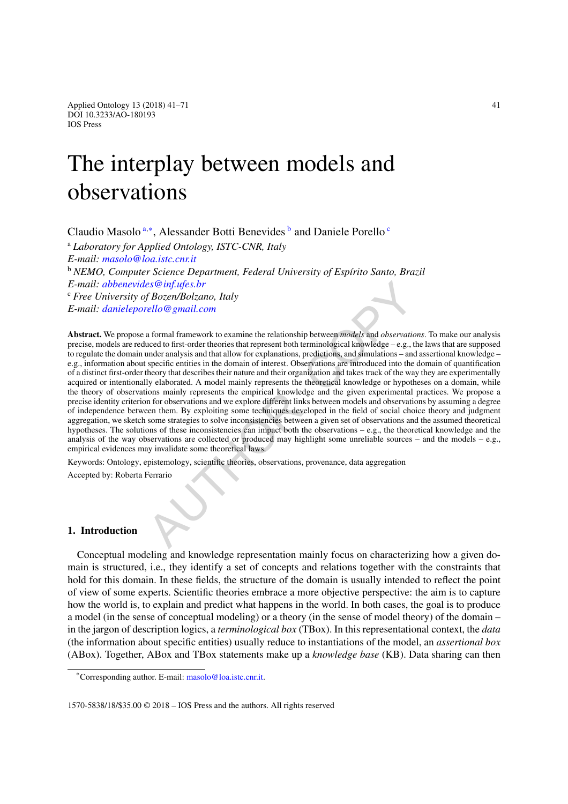Applied Ontology 13 (2018) 41–71 41 DOI 10.3233/AO-180193 IOS Press

# The interplay between models and observ ations

<span id="page-0-0"></span>Cl[a](#page-0-0)udio Masolo<sup>a,\*</sup>, Alessander Botti Benevides **[b](#page-0-2)** and Daniele Porello<sup>[c](#page-0-3)</sup>

<span id="page-0-2"></span><sup>a</sup> *Laboratory for Applied Ontolo g y, ISTC-CNR, Italy E-mail: [masolo@loa.istc.cnr.it](mailto:masolo@loa.istc.cnr.it)* <sup>b</sup> *NEMO, Computer Science Department, Federa l University of Espírito Santo, Brazil E-mail: [abbenevides@inf.ufes.br](mailto:abbenevides@inf.ufes.br)* <sup>c</sup> *Free University of Bozen/Bolzano, Italy E-mail: [danieleporello@gmail.com](mailto:danieleporello@gmail.com)*

<span id="page-0-3"></span> $\epsilon s \otimes \inf_t u_f \epsilon s$ .br<br>
f Bozen/Bolzano, Italy<br>
rello@gmail.com<br>
a formal framework to examine the relationship between models and observationed<br>
a formal framework to examine the relationship between models and observation<br> Abstract. We propose a formal framework to examine the relationship between *models* and *observations*. To make our analysis precise, models are reduced to first-order theories that represent both terminological knowledge – e.g., the laws that are supposed to regulate the domain under analysis and that allow for explanations, predictions, and simulations – and assertional knowledge – e.g., information about specific entities i n the domain o f interest. Observations are introduced into the domain o f quantification of a distinct first-order theory that describes their nature and their organization and takes track of the way they are experimentally acquired or intentionally elaborated. A model mainly represents the theoretical knowledge or hypotheses on a domain, while the theory of observations mainly represents the empirical knowledge and the given experimental practices. We propose a precise identity criterion for observations and we explore different links between models and observations by assuming a degree of independence between them. B y exploiting some techniques d e veloped i n the field of social choice theory and judgment aggregation, we sketch some strategies to solve inconsistencies between a given set of observations and the assumed theoretical hypotheses. The solutions of these inconsistencies can impact both the observations – e.g., the theoretical knowledge and the analysis of the way observations are collected or produced may highlight some unreliable sources – and the models – e.g., empirical evidences may invalidate some theoretical laws.

K eywords: Ontology, epistemology, scientific theories, observ ations, pro v enance, data aggre gation Accepted by: Roberta Ferrario

## **1. Introduction**

Conceptual modeling and knowledge representation mainly focus on characterizing how a given domain is structured, i.e., they identify a set of concepts and relations together with the constraints that hold for this domain. In these fields, the structure of the domain is usually intended to reflect the point of vie w of some experts. Scientific theories embrace a more objecti v e perspecti ve: the aim is to capture how the world is, to explain and predict what happens in the world. In both cases, the goal is to produce a model (in the sense of conceptual modeling) or a theory (in the sense of model theory) of the domain – in the jargon of description logics, a *terminological box* (TBox). In this representational context, the *data* (the information about specific entities) usually reduce t o instantiations of the model, an *assertional box* (ABox). Together, ABox and TBox statements make up a *knowledge base* (KB). Data sharing can then

1570-5838/18/\$35.00 © 2018 – IOS Press and the authors. All rights reserv e d

<span id="page-0-1"></span><sup>\*</sup>Corresponding author . E-mail: [masolo@loa.istc.cnr](mailto:masolo@loa.istc.cnr.it) .it .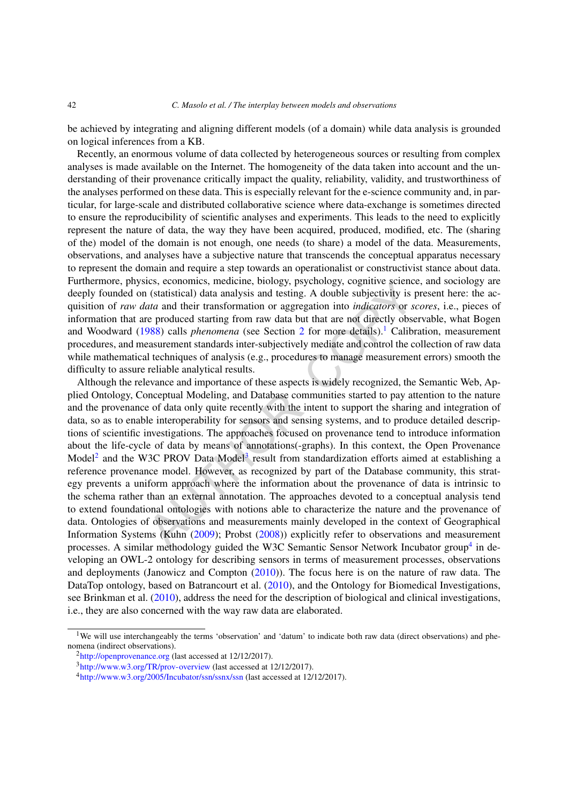be achieved by integrating and aligning different models (of a domain) while data analysis is grounded on logical inferences from a KB.

Recently, an enormous volume of data collected by heterogeneous sources or resulting from complex analyses is made available on the Internet. The homogeneity of the data taken into account and the understanding of their provenance critically impact the quality, reliability, validity, and trustworthiness of the analyses performed on these data. This is especially relevant for the e-science community and, in particular , for lar ge-scale and distrib uted collaborati v e science where data-e xchange is sometimes directed to ensure the reproducibility of scientific analyses and experiments. This leads to the need to explicitly represent the nature of data, the way they have been acquired, produced, modified, etc. The (sharing of the) model of the domain is not enough, one needs (to share) a model of the data. Measurements, observations, and analyses have a subjective nature that transcends the conceptual apparatus necessary to represent the domain and require a step towards an operationalist or constructivist stance about data. Furthermore, physics, economics, medicine, biology, psychology, cognitive science, and sociology are deeply founded on (statistical) data analysis and testing. A double subjectivity is present here: the acquisition of *raw data* and their transformation or aggregation into *indicators* or *scores*, i.e., pieces of information that are produced starting from r a w data b u t that are not directly observ able, what Bogen and Woodward [\(1988](#page-28-0)) calls *phenomena* (see Section 2 for more details).<sup>1</sup> Calibration, measurement procedures, and measurement standards inter-subjectively mediate and control the collection of raw data while mathematical techniques of analysis (e.g., procedures to manage measurement errors) smooth the difficulty to assure reliable analytical results.

consists, mean the transformation or agreeable to the and the subjectivity is and testing. A double subjectivity is  $at$  and their transformation or agregation into *indicators* or *s re* and their transformation or agre Although the relevance and importance of these aspects is widely recognized, the Semantic Web, Applied Ontology, Conceptual Modeling, and Database communities started to pay attention to the nature and the provenance of data only quite recently with the intent to support the sharing and integration of data, so as to enable interoperability for sensors and sensing systems, and to produce detailed descriptions of scientific investigations. The approaches focused on provenance tend to introduce information about the life-cycle of data by means of annotations(-graphs). In this context, the Open Provenance Model<sup>[2](#page-1-1)</sup> and the W3C PROV Data Model<sup>3</sup> result from standardization efforts aimed at establishing a reference provenance model. However, as recognized by part of the Database community, this strategy prevents a uniform approach where the information about the provenance of data is intrinsic to the schema rather than a n external annotation. The approaches de v oted t o a conceptual analysis tend to extend foundational ontologies with notions able to characterize the nature and the provenance of data. Ontologies of observations and measurements mainly developed in the context of Geographical Information Systems (Kuhn (2009); Probst (2008)) explicitly refer to observations and measurement processes. A similar methodology guided the W3C Semantic Sensor Network Incubator group<sup>[4](#page-1-3)</sup> in developing an OWL-2 ontology for describing sensors in terms of measurement processes, observations and deployments (Janowicz and Compton  $(2010)$ ). The focus here is on the nature of raw data. The DataTop ontology, based on Batrancourt et al. [\(2010](#page-28-1)), and the Ontology for Biomedical Investigations, see Brinkman et al. [\(2010](#page-28-2)), address the need for the description of biological and clinical investigations, i.e., the y are also concerned with the way ra w data are elaborated.

<span id="page-1-0"></span><sup>&</sup>lt;sup>1</sup>We will use interchangeably the terms 'observation' and 'datum' to indicate both raw data (direct observations) and phenomena (indirect observations).

<span id="page-1-1"></span>[<sup>2</sup>http://openprovenance.org](http://openprovenance.org) (last accessed at 12/12/2017).

<span id="page-1-2"></span>[<sup>3</sup>http://www.w3.org/TR/prov-overview](http://www.w3.org/TR/prov-overview) (last accessed at 12/12/2017).

<span id="page-1-3"></span>[<sup>4</sup>http://www.w3.org/2005/Incubator/ssn/ssnx/ssn](http://www.w3.org/2005/Incubator/ssn/ssnx/ssn) (last accessed at 12/12/2017).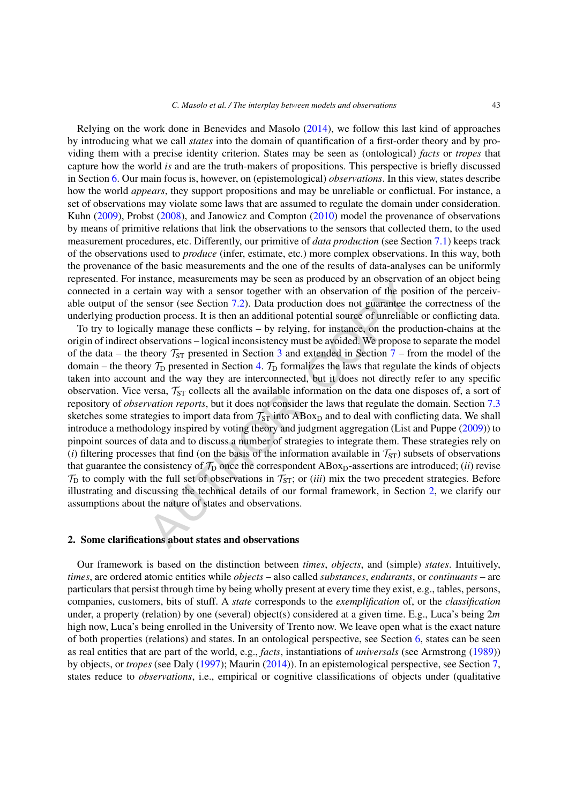Relying on the work done in Benevides and Masolo [\(2014](#page-28-3)), we follow this last kind of approaches by introducing what we call *states* into the domain of quantification of a first-order theory and by providing them with a precise identity criterion. States may be seen as (ontological) *facts* or *tropes* that capture how the world *is* and are the truth-makers of propositions. This perspective is briefly discussed in Section [6](#page-18-0). Our main focus is, however, on (epistemological) *observations*. In this view, states describe how the world *appears*, they support propositions and may be unreliable or conflictual. For instance, a set of observations may violate some laws that are assumed to regulate the domain under consideration. Kuhn [\(2009\)](#page-29-0), Probst [\(2008\)](#page-29-1), and Janowicz and Compton [\(2010](#page-29-2)) model the provenance of observations by means of primitive relations that link the observations to the sensors that collected them, to the used measurement procedures, etc. Differently, our primitive of *data production* (see Section [7.1](#page-19-0)) keeps track of the observations used to *produce* (infer, estimate, etc.) more complex observations. In this way, both the pro v enance o f the basic measurements and the one of the results of data-analyses can be uniformly represented. For instance, measurements may be seen as produced by an observation of an object being connected in a certain way with a sensor together with an observation of the position of the perceivable output of the sensor (see Section 7.2). Data production does not guarantee the correctness of the underlying production process. It is then an additional potential source of unreliable or conflicting data.

station, was threasured in the positivation was procedured by an osservanted tain way with a sensor together with an observation of the positivation process. It is then an additional potential source of unreliably manage To try t o logically manage these conflicts – b y relying, for instance, on the production-chains at the origin of indirect observations - logical inconsistency must be avoided. We propose to separate the model of the data – the theory  $\mathcal{T}_{ST}$  presented in Section 3 and extended in Section 7 – from the model of the domain – the theory  $\mathcal{T}_D$  presented in Section 4.  $\mathcal{T}_D$  formalizes the laws that regulate the kinds of objects taken into account and the way they are interconnected, but it does not directly refer to any specific observation. Vice versa,  $T_{ST}$  collects all the available information on the data one disposes of, a sort of repository of *observation reports*, but it does not consider the laws that regulate the domain. Section [7.3](#page-22-0) sketches some strategies to import data from  $T_{ST}$  into  $ABox_D$  and to deal with conflicting data. We shall introduce a methodology inspired by voting theory and judgment aggregation (List and Puppe [\(2009](#page-29-3))) to pinpoint sources of data and t o discuss a number o f strate gies t o inte grate them. These strategies rely on (*i*) filtering processes that find (on the basis of the information available in  $\mathcal{T}_{ST}$ ) subsets of observations that guarantee the consistency of  $\mathcal{T}_D$  once the correspondent ABox<sub>D</sub>-assertions are introduced; *(ii)* revise  $\mathcal{T}_{\text{D}}$  to comply with the full set of observations in  $\mathcal{T}_{\text{ST}}$ ; or *(iii)* mix the two precedent strategies. Before illustrating and discussing the technical details of our formal framework, in Section [2](#page-2-0), we clarify our assumptions about the nature o f states and observ ations.

## <span id="page-2-0"></span>**2. Some clarifications about states and obser v ations**

Our framework is based on the distinction between *times*, *objects*, and (simple) *states*. Intuitively, times, are ordered atomic entities while *objects* – also called *substances*, endurants, or *continuants* – are particulars that persist through time by being wholly present at every time they exist, e.g., tables, persons, companies, customers, bits of stuff. A *state* corresponds to the *exemplification* of, o r the *classification* under, a property (relation) by one (several) object(s) considered at a given time. E.g., Luca's being 2m high now, Luca's being enrolled in the University of Trento now. We leave open what is the exact nature of both properties (relations) and states. In an ontological perspective, see Section [6](#page-18-0), states can be seen as real entities that are part of the world, e.g., *facts* , instantiations of *universals* (see Armstrong [\(1989](#page-28-4))) by objects, or *tropes* (see Daly [\(1997](#page-28-5)); Maurin [\(2014\)](#page-29-4)). In an epistemological perspective, see Section [7](#page-18-1), states reduce to *observations*, i.e., empirical or cognitive classifications of objects under (qualitative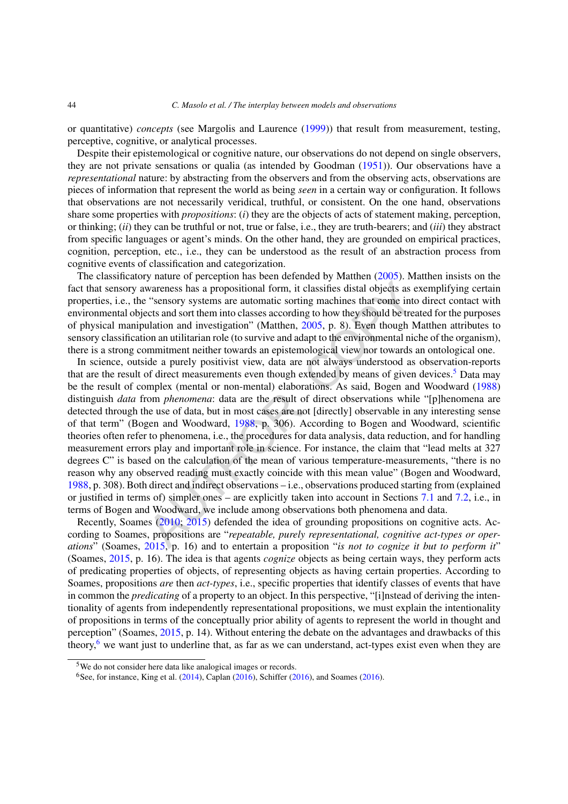or quantitative) *concepts* (see Margolis and Laurence [\(1999](#page-29-5))) that result from measurement, testing, perceptive, cognitive, or analytical processes.

Despite their epistemological or cognitive nature, our observations do not depend on single observers, they are not private sensations or qualia (as intended by Goodman [\(1951](#page-28-6))). Our observations have a representational nature: by abstracting from the observers and from the observing acts, observations are pieces of information that represent the world as being *seen* in a certain way or configuration. It follows that observ ations are not necessarily v eridical, truthful, or consistent. O n the one hand, observ ations share some properties with *propositions*: (*i*) they are the objects of acts of statement making, perception, or thinking; *(ii)* they can be truthful or not, true or false, i.e., they are truth-bearers; and *(iii)* they abstract from specific languages or agent's minds. On the other hand, they are grounded on empirical practices, cognition, perception, etc., i.e., they can be understood as the result of an abstraction process from cogniti v e e vents of classification and categorization.

The classificatory nature of perception has been defended by Matthen [\(2005](#page-29-6)). Matthen insists on the fact that sensory awareness has a propositional form, it classifies distal objects as exemplifying certain properties, i.e., the "sensory systems are automatic sorting machines that come into direct contact with environmental objects and sort them into classes according to how they should be treated for the purposes of physical manipulation and investigation" (Matthen, 2005, p. 8). Even though Matthen attributes to sensory classification an utilitarian role (to survive and adapt to the environmental niche of the organism), there is a strong commitment neither towards an epistemological view nor towards an ontological one.

wareness has a propositional form, it classifies distal objects as "sensory systems are automatic sorting machines that come intects and sort them into classes according to how they should be tre ulation and investigation In science, outside a purely positivist view, data are not always understood as observation-reports that are the result of direct measurements even though extended by means of given devices.<sup>[5](#page-3-0)</sup> Data may be the result of complex (mental or non-mental) elaborations. As said, Bogen and Woodward [\(1988](#page-28-0)) distinguish *data* from *phenomena*: data are the result of direct observations while "[p]henomena are detected through the use of data, but in most cases are not [directly] observable in any interesting sense of that term" (Bogen and Woodward, 1988, p. 306). According to Bogen and Woodward, scientific theories often refer to phenomena, i.e., the procedures for data analysis, data reduction, and for handling measurement errors play and important role in science. For instance, the claim that "lead melts at 327 degrees C" is based on the calculation of the mean of various temperature-measurements, "there is no reason why any observed reading must exactly coincide with this mean value" (Bogen and Woodward, [1988](#page-28-0) , p . 308). Both direct and indirect observ ations – i.e., observ ations produced starting from ( explained or justified in terms of) simpler ones – are explicitly taken into account in Sections [7.1](#page-19-0) and [7.2](#page-20-0), i.e., in terms o f Bogen and Woodward, we include among observ ations both phenomena and data.

Recently, Soames (2010; 2015) defended the idea of grounding propositions on cognitive acts. According to Soames, propositions are "*repeatable, purely representational, cognitive act-types or operations*" (Soames, 2015, p. 16) and to entertain a proposition "*is not to cognize it but to perform it*" (Soames, [2015](#page-29-8), p. 16). The idea is that agents *cognize* objects as being certain ways, they perform acts of predicating properties of objects, of representing objects as having certain properties. According to Soames, propositions are then act-types, i.e., specific properties that identify classes of events that have in common the *predicating* of a property to an object. In this perspective, "[i]nstead of deriving the intentionality of agents from independently representational propositions, we must explain the intentionality of propositions in terms of the conceptually prior ability of agents to represent the world in thought and perception" (Soames, [2015](#page-29-8), p. 14). Without entering the debate on the advantages and drawbacks of this theory,<sup>[6](#page-3-1)</sup> we want just to underline that, as far as we can understand, act-types exist even when they are

<span id="page-3-0"></span><sup>&</sup>lt;sup>5</sup>We do not consider here data like analogical images or records.

<span id="page-3-1"></span><sup>&</sup>lt;sup>6</sup>See, for instance, King et al.  $(2014)$ , Caplan  $(2016)$ , Schiffer  $(2016)$ , and Soames  $(2016)$ .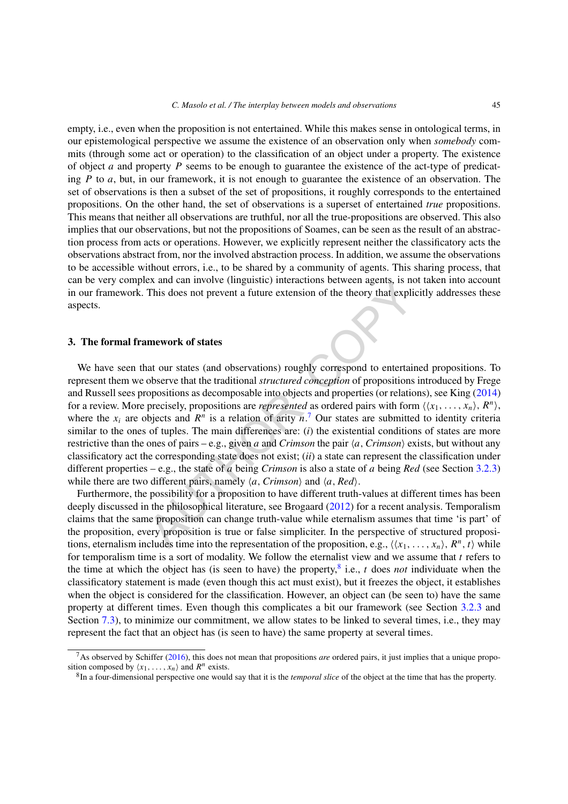empty, i.e., even when the proposition is not entertained. While this makes sense in ontological terms, in our epistemological perspective we assume the existence of an observation only when *somebody* commits (through some act or operation) to the classification of an object under a property. The existence of object *a* and property *P* seems to be enough to guarantee the existence of the act-type of predicating *P* to *a*, but, in our framework, it is not enough to guarantee the existence of an observation. The set of observations is then a subset of the set of propositions, it roughly corresponds to the entertained propositions. On the other hand, the set of observations is a superset of entertained *true* propositions. This means that neither all observations are truthful, nor all the true-propositions are observed. This also implies that our observations, but not the propositions of Soames, can be seen as the result of an abstraction process from acts or operations. However, we explicitly represent neither the classificatory acts the observ ations abstract from, nor the i nvolv e d abstraction process. In addition, we assume the observ ations to be accessible without errors, i.e., to be shared by a community of agents. This sharing process, that can be very complex and can involve (linguistic) interactions between agents, is not taken into account in our framework. This does not prevent a future extension of the theory that explicitly addresses these aspects.

## <span id="page-4-0"></span>**3. The formal framew ork of states**

Exampleand can involve (iniguistic) interactions between agents, is not<br>This does not prevent a future extension of the theory that expli<br> **ITER COPY THEOR COPY** and the traditional *structured conception* of proposition We have seen that our states (and observations) roughly correspond to entertained propositions. To represent them we observe that the traditional *structured conception* of propositions introduced by Frege and Russell sees propositions as decomposable into objects and properties (or relations), see King [\(2014](#page-29-12)) for a review. More precisely, propositions are *represented* as ordered pairs with form  $\langle x_1, \ldots, x_n \rangle$ ,  $R^n \rangle$ , where the  $x_i$  are objects and  $R^n$  is a relation of arity  $n<sup>7</sup>$  Our states are submitted to identity criteria similar to the ones of tuples. The main differences are: (*i*) the existential conditions of states are more restrictive than the ones of pairs – e.g., given a and *Crimson* the pair  $\langle a, Crimson \rangle$  exists, but without any classificatory act the corresponding state does not exist; (ii) a state can represent the classification under different properties – e.g., the state of *a* being *Crimson* is also a state of *a* being *Red* (see Section [3.2.3](#page-8-0)) while there are two different pairs, namely  $\langle a, Crimson \rangle$  and  $\langle a, Red \rangle$ .

Furthermore, the possibility for a proposition to have different truth-values at different times has been deeply discussed in the philosophical literature, see Brogaard (2012) for a recent analysis. Temporalism claims that the same proposition can change truth-v alue while eternalism assumes that time 'is part' o f the proposition, every proposition is true or false simpliciter. In the perspective of structured propositions, eternalism includes time into the representation of the proposition, e.g.,  $\langle x_1, \ldots, x_n \rangle$ ,  $R^n$ , t) while for temporalism time is a sort of modality. We follow the eternalist view and we assume that t refers to the time at which the object has (is seen to have) the property,<sup>[8](#page-4-2)</sup> i.e., *t* does *not* individuate when the classificatory statement is made (even though this act must exist), but it freezes the object, it establishes when the object is considered for the classification. However, an object can (be seen to) have the same property at different times. Even though this complicates a bit our framework (see Section [3.2.3](#page-8-0) and Section [7.3\)](#page-22-0), to minimize our commitment, we allow states to be linked to several times, i.e., they may represent the fact that an object has (is seen to have) the same property at several times.

<span id="page-4-1"></span> $^7$ As observed by Schiffer [\(2016](#page-29-10)), this does not mean that propositions *are* ordered pairs, it just implies that a unique proposition composed by  $\langle x_1, \ldots, x_n \rangle$  and  $R^n$  exists.<br><sup>8</sup>In a four-dimensional perspective one would say that it is the *temporal slice* of the object at the time that has the property.

<span id="page-4-2"></span>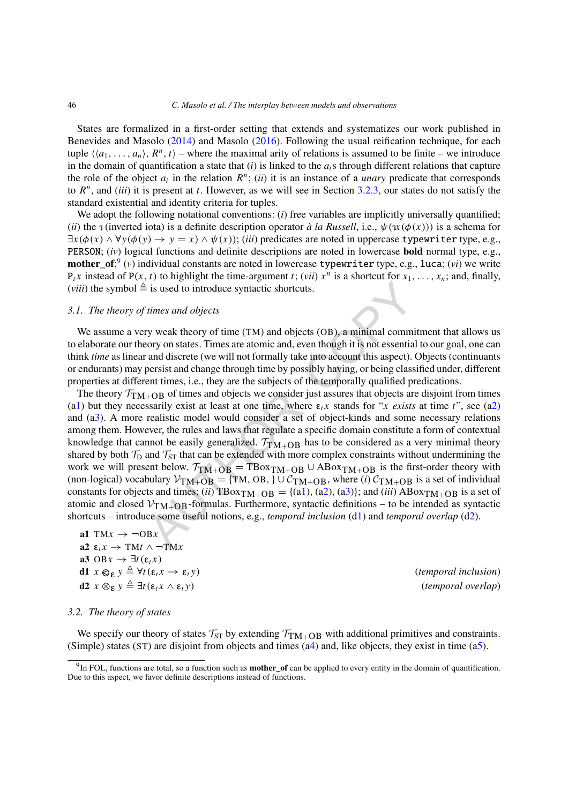States are formalized in a first-order setting that extends and systematizes our work published in Benevides and Masolo [\(2014](#page-28-3)) and Masolo [\(2016\)](#page-29-13). Following the usual reification technique, for each tuple  $\langle\langle a_1,\ldots,a_n\rangle, R^n, t\rangle$  – where the maximal arity of relations is assumed to be finite – we introduce in the domain of quantification a state that  $(i)$  is linked to the  $a_i$ s through different relations that capture the role of the object  $a_i$  in the relation  $R^n$ ; (*ii*) it is an instance of a *unary* predicate that corresponds to  $R<sup>n</sup>$ , and *(iii)* it is present at t. However, as we will see in Section [3.2.3](#page-8-0), our states do not satisfy the standard e xistential and identity criteria for tuples.

We adopt the following notational conventions: (i) free variables are implicitly universally quantified; (*ii*) the  $\gamma$  (inverted iota) is a definite description operator à la Russell, i.e.,  $\psi(\alpha(\phi(x)))$  is a schema for  $\exists x(\phi(x) \land \forall y(\phi(y) \to y = x) \land \psi(x));$  (*iii*) predicates are noted in uppercase typewriter type, e.g., PERSON; (iv) logical functions and definite descriptions are noted in lowercase **bold** normal type, e.g., mother\_of;<sup>[9](#page-5-0)</sup> (*v*) individual constants are noted in lowercase typewriter type, e.g., luca; (*vi*) we write  $P_t x$  instead of  $P(x, t)$  to highlight the time-argument t; (*vii*)  $x^n$  is a shortcut for  $x_1, \ldots, x_n$ ; and, finally, (*viii*) the symbol  $\triangleq$  is used to introduce syntactic shortcuts.

## *3.1. The theory of times and objects*

We assume a very weak theory of time (TM) and objects (OB), a minimal commitment that allows us to elaborate our theory on states. Times are atomic and, even though it is not essential to our goal, one can think *time* as linear and discrete (we will not formally tak e into account this aspect). Objects (continuants or endurants) may persist and change through time b y possibly h a ving, or being classified under , different properties at different times, i.e., they are the subjects of the temporally qualified predications.

is is used to introduce syntactic shortcuts.<br> *times and objects*<br>
y weak theory of time (TM) and objects (OB), a minimal comminary<br>
y weak theory of time (TM) and objects (OB), a minimal comminary<br>
ory on states. Times a The theory  $\mathcal{T}_{TM+OB}$  of times and objects we consider just assures that objects are disjoint from times (a[1](#page-5-1)) but they necessarily exist at least at one time, where  $\varepsilon_t x$  stands for "*x* exists at time t", see (a[2](#page-5-2)) and ( a [3\)](#page-5-3). A more realistic model would consider a set of object-kinds and some necessary relations among them. However, the rules and laws that regulate a specific domain constitute a form of contextual knowledge that cannot be easily generalized.  $T_{TM+OB}$  has to be considered as a very minimal theory shared by both  $T_D$  and  $T_{ST}$  that can be extended with more complex constraints without undermining the work we will present below.  $T_{TM+OB} = TBo x_{TM+OB} \cup ABo x_{TM+OB}$  is the first-order theory with (non-logical) vocabulary  $V_{TM+OB} = \{TM, OB, \} \cup C_{TM+OB}$ , where (*i*)  $C_{TM+OB}$  is a set of individual constants for objects and times; (*ii*)  $TBox_{TM+OB} = \{(a1), (a2), (a3)\}$ ; and (*iii*)  $ABox_{TM+OB}$  is a set of atomic and closed  $V_{TM+OB}$ -formulas. Furthermore, syntactic definitions – to be intended as syntactic shortcuts – introduce some useful notions, e.g., *temporal inclusion* (d 1) a n d *temporal overlap* (d [2\)](#page-5-5).

<span id="page-5-4"></span><span id="page-5-3"></span><span id="page-5-2"></span><span id="page-5-1"></span> $a1$  TM $x \rightarrow \neg \text{OB } x$ **a2**  $\varepsilon_t x$  → TMt ∧ ¬TMx **a3** OB*x* → ∃*t*( $ε_t x$ ) **d1**  $x \otimes_{\mathcal{E}} y \triangleq \forall t (\varepsilon_t x \rightarrow \varepsilon_t y)$ **d2** *x* ⊗<sub>ε</sub> *y*  $\triangleq$  ∃*t*(ε<sub>*t</sub>x* ∧ ε<sub>*t</sub>y*)</sub></sub>

(*temporal inclusion* ) (*temporal overlap* )

## <span id="page-5-5"></span>*3.2. The theory of states*

We specify our theory of states  $\mathcal{T}_{ST}$  by extending  $\mathcal{T}_{TM+OB}$  with additional primitives and constraints. (Simple) states (ST) are disjoint from objects and times (a[4](#page-6-0)) and, like objects, they exist in time (a[5\)](#page-6-1).

<span id="page-5-0"></span><sup>&</sup>lt;sup>9</sup>In FOL, functions are total, so a function such as **mother\_of** can be applied to every entity in the domain of quantification. Due to this aspect, we favor definite descriptions instead of functions.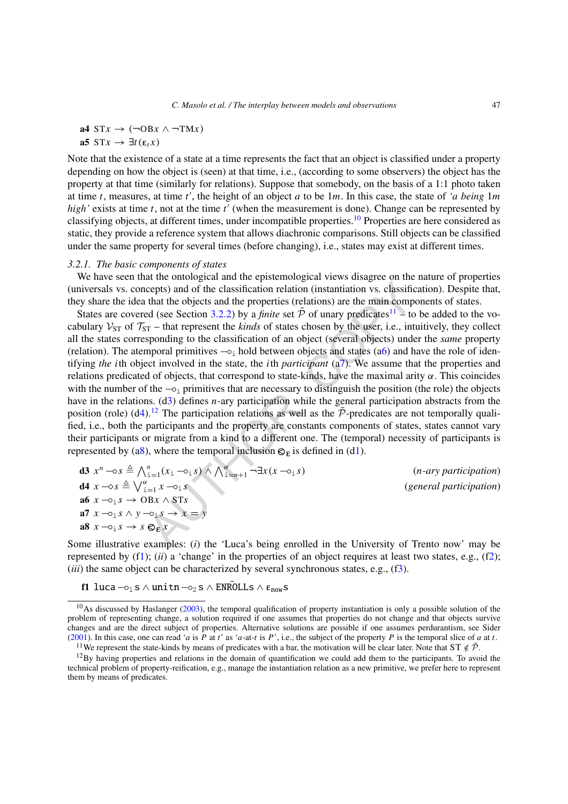<span id="page-6-1"></span><span id="page-6-0"></span> $a4 \, \text{ST}x \rightarrow (\neg \text{OB}x \land \neg \text{TM}x)$ **a5** ST $x$  →  $∃t$  ( $ε_t x$ )

Note that the existence of a state at a time represents the fact that an object is classified under a property depending on how the object is (seen) at that time, i.e., (according to some observers) the object has the property at that time (similarly for relations). Suppose that somebody, on the basis of a 1:1 photo taken at time *t*, measures, at time  $t'$ , the height of an object *a* to be 1*m*. In this case, the state of *'a being* 1*m* high' exists at time  $t$ , not at the time  $t'$  (when the measurement is done). Change can be represented by classifying objects, at different times, under incompatible properties.<sup>10</sup> Properties are here considered as static, the y provide a reference system that allows diachronic comparisons. Still objects can be classified under the same property for several times (before changing), i.e., states may exist at different times.

## <span id="page-6-11"></span>*3.2.1. The basic components of states*

We have seen that the ontological and the epistemological views disagree on the nature of properties (uni v ersals vs. concepts) and of the classification relation (instantiation vs. classification). Despite that, the y share the idea that the objects and the properties (relations) are the main components o f states.

cepts) and of the classification relation (instantiation vs. classific<br>that the objects and the properties (relations) are the main comp<br>d (see Section 3.2.2) by a *finite* set  $\overline{P}$  of unary predicates<sup>11</sup> – to<br> $T$  – States are covered (see Section 3.2.2) by a *finite* set  $\bar{\mathcal{P}}$  of unary predicates<sup>11</sup> – to be added to the vocabulary  $V_{ST}$  of  $T_{ST}$  – that represent the *kinds* of states chosen by the user, i.e., intuitively, they collect all the states corresponding to the classification o f a n object (se veral objects) under the *same* property (relation). The atemporal primitives  $-\circ_i$  hold between objects and states (a6) and have the role of identifying *the i*th object involved in the state, the *i*th *participant* (a7). We assume that the properties and relations predicated of objects, that correspond to state-kinds, h a v e the maximal arity *α* . This coincides with the number of the  $-o<sub>1</sub>$  primitives that are necessary to distinguish the position (the role) the objects have in the relations. (d3) defines *n*-ary participation while the general participation abstracts from the position (role) (d[4\)](#page-6-7).<sup>12</sup> The participation relations as well as the  $\bar{P}$ -predicates are not temporally qualified, i.e., both the participants and the property are constants components of states, states cannot vary their participants or migrate from a kind to a different one. The (temporal) necessity of participants is represented by (a[8\)](#page-6-9), where the temporal inclusion  $\otimes_{\varepsilon}$  is defined in (d1).

<span id="page-6-7"></span><span id="page-6-6"></span><span id="page-6-4"></span>**d3** 
$$
x^n \to s \triangleq \bigwedge_{i=1}^n (x_i - \circ_i s) \land \bigwedge_{i=n+1}^{\alpha} \neg \exists x (x - \circ_i s)
$$
  
\n**d4**  $x \to s \triangleq \bigvee_{i=1}^{\alpha} x - \circ_i s$   
\n**a6**  $x \to i s \to OBx \land STs$   
\n**a7**  $x \to i s \land y \to i s \to x = y$   
\n**a8**  $x \to i s \to s \otimes_{\mathcal{E}} x$   
\n**b9**  $x \to s \otimes_{\mathcal{E}} x$ 

<span id="page-6-9"></span><span id="page-6-5"></span>Some illustrative examples: (i) the 'Luca's being enrolled in the University of Trento now' may be represented by (f[1\)](#page-6-10); *(ii)* a 'change' in the properties of an object requires at least two states, e.g., *([f2\)](#page-7-1)*; (*iii*) the same object can be characterized by several synchronous states, e.g., ([f3\)](#page-7-2).

<span id="page-6-10"></span>
$$
\textbf{f1 }luca \!-\! \circ_1 \! \textbf{s} \wedge \textbf{unit} \! \textbf{n} \!-\! \circ_2 \! \textbf{s} \wedge \textbf{ENROLLs} \wedge \epsilon_{\text{now}} \textbf{s}
$$

<span id="page-6-2"></span> $^{10}$ As discussed by Haslanger [\(2003](#page-28-9)), the temporal qualification of property instantiation is only a possible solution of the problem of representing change, a solution required if one assumes that properties do not change and that objects survive changes and are the direct subject of properties. Alternative solutions are possible if one assumes perdurantism, see Sider [\(2001\)](#page-29-14). In this case, one can read '*a* is *P* at *t*' as '*a*-at-*t* is *P*', i.e., the subject of the property *P* is the temporal slice of *a* at *t*.

<span id="page-6-8"></span><span id="page-6-3"></span><sup>&</sup>lt;sup>11</sup>We represent the state-kinds by means of predicates with a bar, the motivation will be clear later. Note that ST  $\notin \tilde{\mathcal{P}}$ .<br><sup>12</sup>By having properties and relations in the domain of quantification we could add them technical problem of property-reification, e.g., manage the instantiation relation as a new primitive, we prefer here to represent them by means o f predicates.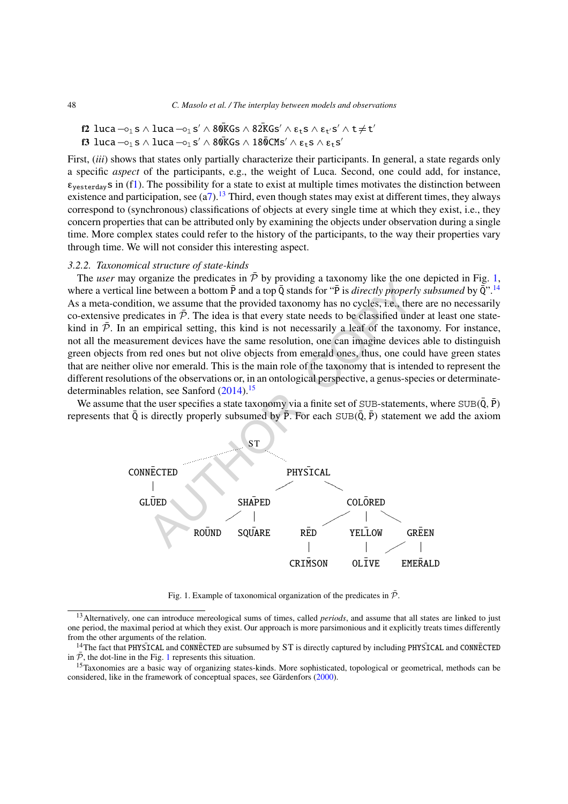```
{\tt f2} luca -\circ_1 s \wedge luca -\circ_1 s' \wedge 80kGs \wedge 82kGs' \wedge \epsilon_{\tt t}s \wedge \epsilon_{\tt t'}s' \wedge {\tt t} \neq t'
\bf{f3}\ \text{luca}\text{−}o_1\textbf{s} \wedge \text{luca}\text{−}o_1\textbf{s}' \wedge \textbf{80} \bar{\text{K}} \text{Gs} \wedge \textbf{180} \bar{\text{C}} \text{Ms}' \wedge \epsilon_{\textbf{t}} \textbf{s} \wedge \epsilon_{\textbf{t}} \textbf{s}'
```
First, *(iii)* shows that states only partially characterize their participants. In general, a state regards only a specific *aspect* of the participants, e.g., the weight of Luca. Second, one could add, for instance, yesterdayS in (f[1\)](#page-6-10). The possibility for a state to exist at multiple times motivates the distinction between existence and participation, see (a[7\)](#page-6-5).<sup>13</sup> Third, even though states may exist at different times, they always correspond to (synchronous) classifications of objects at every single time at which they exist, i.e., they concern properties that can be attributed only b y examining the objects under observ ation during a single time. More complex states could refer to the history of the participants, to the way their properties vary through time. We will not consider this interesting aspect.

## <span id="page-7-0"></span>*3.2.2. Taxonomical structure of state-kinds*

The *user* may organize the predicates in  $\bar{P}$  by providing a taxonomy like the one depicted in Fig. [1](#page-7-4), where a vertical line between a bottom  $\bar{P}$  and a top  $\bar{Q}$  stands for " $\bar{P}$  is *directly properly subsumed* by  $\bar{Q}$ ".<sup>[14](#page-7-5)</sup> As a meta-condition, we assume that the provided taxonomy has no cycles, i.e., there are no necessarily co-extensive predicates in  $\bar{p}$ . The idea is that every state needs to be classified under at least one statekind in  $\overline{P}$ . In an empirical setting, this kind is not necessarily a leaf of the taxonomy. For instance, not all the measurement devices have the same resolution, one can imagine devices able to distinguish green objects from red ones but not olive objects from emerald ones, thus, one could have green states that are neither olive nor emerald. This is the main role of the taxonomy that is intended to represent the different resolutions of the observations or, in an ontological perspective, a genus-species or determinatedeterminables relation, see Sanford  $(2014).$ <sup>15</sup>

We assume that the user specifies a state taxonomy via a finite set of SUB-statements, where  $SUB(\bar{Q}, \bar{P})$ represents that  $\bar{Q}$  is directly properly subsumed by  $\bar{P}$ . For each  $SUB(\bar{Q}, \bar{P})$  statement we add the axiom



<span id="page-7-4"></span>Fig. 1. Example of taxonomical organization of the predicates in  $\bar{\mathcal{P}}$ .

<span id="page-7-3"></span><sup>&</sup>lt;sup>13</sup>Alternatively, one can introduce mereological sums of times, called *periods*, and assume that all states are linked to just one period, the maximal period at which the y exist. Our approach is more parsimonious and i t explicitly treats times differently from the other arguments of the relation.

<span id="page-7-5"></span> $14$ The fact that PHYSICAL and CONNECTED are subsumed by ST is directly captured by including PHYSICAL and CONNECTED in  $\bar{p}$ , the dot-line in the Fig. [1](#page-7-4) represents this situation.

<span id="page-7-6"></span><sup>&</sup>lt;sup>15</sup>Taxonomies are a basic way of organizing states-kinds. More sophisticated, topological or geometrical, methods can be considered, like in the framework of conceptual spaces, see Gärdenfors [\(2000](#page-28-10)).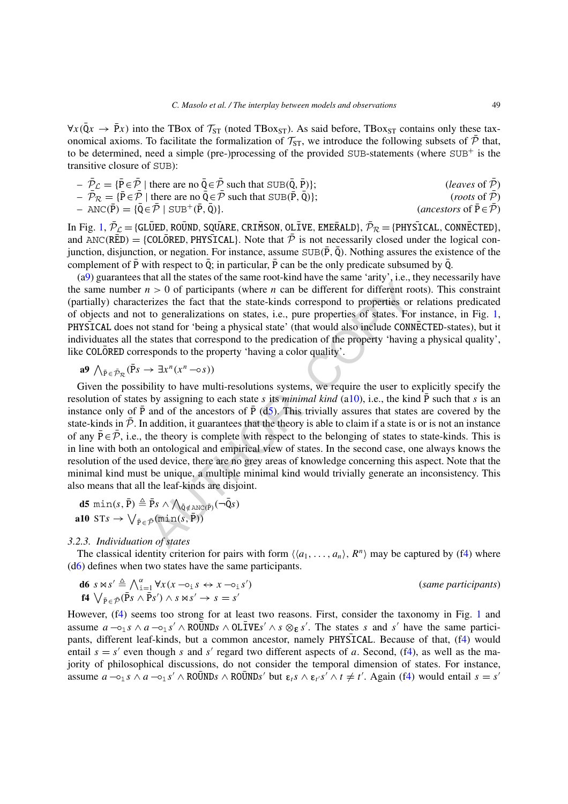$\forall x (\bar{Q}x \rightarrow \bar{P}x)$  into the TBox of  $\mathcal{T}_{ST}$  (noted TBox<sub>ST</sub>). As said before, TBox<sub>ST</sub> contains only these taxonomical axioms. To facilitate the formalization of  $\mathcal{T}_{ST}$ , we introduce the following subsets of  $\bar{\mathcal{P}}$  that, to be determined, need a simple (pre-)processing of the provided SUB-statements (where SUB<sup>+</sup> is the transiti v e closure o f SUB):

$$
\overline{\mathcal{P}}_{\mathcal{L}} = \{ \overline{P} \in \overline{\mathcal{P}} \mid \text{there are no } \overline{Q} \in \overline{\mathcal{P}} \text{ such that } \text{SUB}(\overline{Q}, \overline{P}) \};
$$
\n(*leaves* of  $\overline{\mathcal{P}}$ )\n
$$
- \overline{\mathcal{P}}_{\mathcal{R}} = \{ \overline{P} \in \overline{\mathcal{P}} \mid \text{there are no } \overline{Q} \in \overline{\mathcal{P}} \text{ such that } \text{SUB}(\overline{P}, \overline{Q}) \};
$$
\n(*leaves* of  $\overline{\mathcal{P}}$ )\n
$$
- \text{ANC}(\overline{P}) = \{ \overline{Q} \in \overline{\mathcal{P}} \mid \text{SUB}^+(\overline{P}, \overline{Q}) \}.
$$
\n(*anceators* of  $\overline{P} \in \overline{\mathcal{P}})$ )

In Fig. [1](#page-7-4),  $\bar{\mathcal{P}}_{\mathcal{L}} =$ {GLUED, ROUND, SQUARE, CRIMSON, OLIVE, EMERALD},  $\bar{\mathcal{P}}_{\mathcal{R}} =$ {PHYSICAL, CONNECTED}, and  $\text{ANC}(\overline{RED}) = \{\text{COLORED}, \text{PHYSICAL}\}\.$  Note that  $\overline{P}$  is not necessarily closed under the logical conjunction, disjunction, or negation. For instance, assume  $SUB(\overline{P}, \overline{Q})$ . Nothing assures the existence of the complement of  $\bar{P}$  with respect to  $\bar{Q}$ ; in particular,  $\bar{P}$  can be the only predicate subsumed by  $\bar{Q}$ .

(a[9](#page-8-1)) guarantees that all the states of the same root-kind have the same 'arity', i.e., they necessarily have the same number  $n > 0$  of participants (where  $n$  can be different for different roots). This constraint (partially) characterizes the fact that the state-kinds correspond to properties o r relations predicated of objects and not to generalizations on states, i.e., pure properties of states. For instance, in Fig. [1](#page-7-4), PHYSICAL does not stand for 'being a physical state' (that would also include CONNECTED-states), but it individuates all the states that correspond to the predication of the property 'having a physical quality', like COLORED corresponds to the property 'having a color quality'.

<span id="page-8-1"></span>
$$
\mathbf{a9} \bigwedge_{\bar{\mathbf{P}} \in \bar{\mathcal{P}}_{\mathcal{R}}} (\bar{\mathbf{P}}s \to \exists x^n (x^n \neg \mathbf{o} s))
$$

In a no cancel or the state is the state in the value of the state.<br>  $n \ge 0$  of participants (where *n* can be different for different ro<br>
rizzes the fact that the state-kinds correspond to properties or<br>
to generalizatio Given the possibility to have multi-resolutions systems, we require the user to explicitly specify the resolution of states by assigning to each state *s* its *minimal kind* (a10), i.e., the kind  $\bar{P}$  such that *s* is an instance only of  $\bar{P}$  and of the ancestors of  $\bar{P}$  (d5). This trivially assures that states are covered by the state-kinds in  $\bar{P}$ . In addition, it guarantees that the theory is able to claim if a state is or is not an instance of any  $\bar{P} \in \bar{\mathcal{P}}$ , i.e., the theory is complete with respect to the belonging of states to state-kinds. This is in line with both a n ontological and empirical vie w of states. I n the second case, one al w ays knows the resolution of the used device, there are no grey areas of knowledge concerning this aspect. Note that the minimal kind must b e unique, a multiple minimal kind would trivially generate an inconsistenc y . This also means that all the leaf-kinds are disjoint.

<span id="page-8-3"></span><span id="page-8-2"></span>**d5** min(s, 
$$
\bar{P}
$$
)  $\triangleq \bar{P}_S \wedge \bigwedge_{\bar{Q} \notin \text{ANC}(\bar{P})} (\neg \bar{Q}_S)$   
**a10** STs  $\rightarrow \bigvee_{\bar{P} \in \bar{\mathcal{P}}} (\text{min}(s, \bar{P}))$ 

## <span id="page-8-0"></span>*3.2.3. Individuation of states*

The classical identity criterion for pairs with form  $\langle\langle a_1, \ldots, a_n \rangle, R^n \rangle$  may be captured by ([f4\)](#page-8-4) where (d [6](#page-8-5) ) defines when t w o states ha v e the same participants.

<span id="page-8-5"></span><span id="page-8-4"></span>**46** 
$$
s \bowtie s' \triangleq \bigwedge_{i=1}^{\alpha} \forall x (x - o_i s \leftrightarrow x - o_i s')
$$
 (*same participants*)  
\n**4**  $\bigvee_{\overline{P} \in \overline{P}} (\overline{P} s \land \overline{P} s') \land s \bowtie s' \rightarrow s = s'$ 

However, ([f4](#page-8-4)) seems too strong for at least two reasons. First, consider the taxonomy in Fig. [1](#page-7-4) and assume  $a \rightarrow s \land a \rightarrow s' \land \text{ROUNDS} \land \text{OLIVES'} \land s \otimes_{\text{E}} s'$ . The states *s* and *s'* have the same participants, different leaf-kinds, but a common ancestor, namely PHYSICAL. Because of that, ([f4\)](#page-8-4) would entail  $s = s'$  even though s and s' regard two different aspects of a. Second, ([f4\)](#page-8-4), as well as the majority of philosophical discussions, do not consider the temporal dimension of states. For instance, assume  $a - o_1 s \wedge a - o_1 s' \wedge \text{ROUNDs} \wedge \text{ROUNDs'}$  but  $\varepsilon_t s \wedge \varepsilon_{t'} s' \wedge t \neq t'$ . Again ([f4](#page-8-4)) would entail  $s = s'$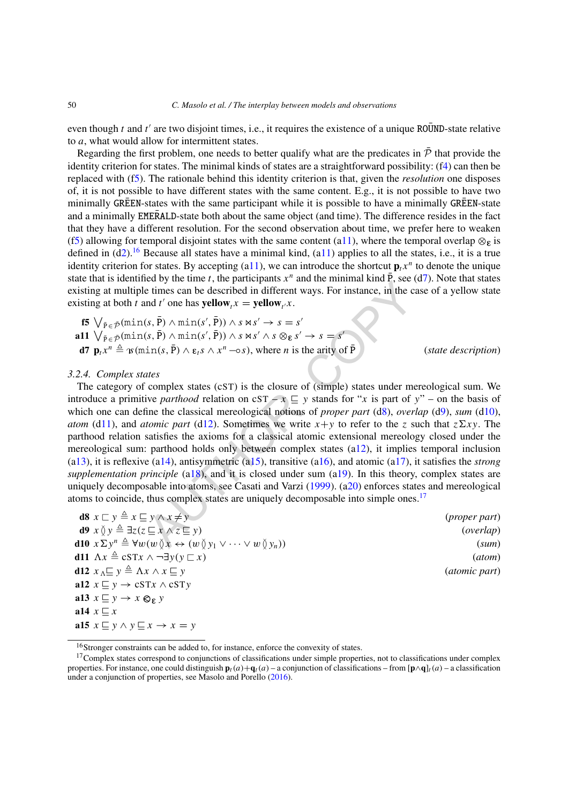even though  $t$  and  $t'$  are two disjoint times, i.e., it requires the existence of a unique ROUND-state relative to *a*, what would allow for intermittent states.

Regarding the first problem, one needs to better qualify what are the predicates in  $\bar{P}$  that provide the identity criterion for states. The minimal kinds of states are a straightforward possibility: ([f4](#page-8-4)) can then be replaced with ([f5\)](#page-9-0). The rationale behind this identity criterion is that, given the *resolution* one disposes of, it is not possible to have different states with the same content. E.g., it is not possible to have two minimally GREEN-states with the same participant while it is possible to have a minimally GREEN-state and a minimally EMERALD-state both about the same object (and time). The difference resides in the fact that they have a different resolution. For the second observation about time, we prefer here to weaken ([f5](#page-9-0)) allowing for temporal disjoint states with the same content ([a11\)](#page-9-1), where the temporal overlap  $\otimes_{\varepsilon}$  is defined in  $(d2)$  $(d2)$ .<sup>16</sup> Because all states have a minimal kind,  $(a11)$  $(a11)$  $(a11)$  applies to all the states, i.e., it is a true identity criterion for states. By accepting ([a11\)](#page-9-1), we can introduce the shortcut  $\mathbf{p}_t x^n$  to denote the unique state that is identified by the time t, the participants  $x^n$  and the minimal kind  $\overline{P}$ , see (d[7\)](#page-9-3). Note that states existing at multiple times can be described in different ways. For instance, in the case of a yellow state existing at both *t* and *t'* one has **yellow**<sub>*t*</sub>*x* = **yellow**<sub>*t'<sup><i>x*</sup>.</sub>

<span id="page-9-1"></span><span id="page-9-0"></span> $f5 \sqrt{\overline{p}} e^{\overline{p}(\overline{m} \text{in}(s, \overline{P}) \wedge \overline{m} \text{in}(s', \overline{P}))} \wedge s \bowtie s' \rightarrow s = s'$ **a11**  $\bigvee_{\bar{P} \in \bar{\mathcal{P}}} (\min(s, \bar{P}) \wedge \min(s', \bar{P})) \wedge s \bowtie s' \wedge s \otimes_{\varepsilon} s' \rightarrow s = s'$ **d7**  $\mathbf{p}_t x^n \triangleq \alpha(\min(s, \bar{P}) \wedge \epsilon_t s \wedge x^n - \infty s)$ , where *n* is the arity of  $\bar{P}$ 

(*state description* )

## <span id="page-9-3"></span>*3.2.4. Complex states*

ca by the thri, the participants at anti-the interesting in the the test insection of  $f'$  one has **yellow**<sub>*i*</sub>,  $x$ ,  $(s, \bar{p}) \wedge \min(s', \bar{p}) \wedge s \bowtie s' \rightarrow s = s'$ ,  $\langle s, \bar{p} \rangle \wedge \min(s', \bar{p}) \wedge s \bowtie s' \wedge s \otimes g s' \rightarrow s = s'$ ,  $\langle s, \bar{p} \rangle$ The category of complex states (cST) is the closure of (simple) states under mereological sum. We introduce a primitive *parthood* relation on  $cST - x \subseteq y$  stands for "x is part of y" – on the basis of which one can define the classical mereological notions of *proper part* (d8), *overlap* (d[9\)](#page-9-5), *sum* ([d10\)](#page-9-6), *atom* ([d11\)](#page-9-7), and *atomic part* (d12). Sometimes we write  $x + y$  to refer to the *z* such that  $z \Sigma xy$ . The parthood relation satisfies the axioms for a classical atomic extensional mereology closed under the mereological sum: parthood holds only between comple x states ( a12), it implies temporal inclusion  $(a13)$  $(a13)$ , it is reflexive  $(a14)$ , antisymmetric  $(a15)$ , transitive  $(a16)$ , and atomic  $(a17)$ , it satisfies the *strong* supplementation principle (a18), and it is closed under sum (a19). In this theory, complex states are uniquely decomposable into atoms, see Casati and Varzi (1999). (a20) enforces states and mereological atoms to coincide, thus complex states are uniquely decomposable into simple ones.<sup>17</sup>

<span id="page-9-8"></span><span id="page-9-7"></span><span id="page-9-6"></span><span id="page-9-5"></span><span id="page-9-4"></span>

| <b>d8</b> $x \sqsubset y \triangleq x \sqsubseteq y \wedge x \neq y$                                                                                           | (proper part)        |
|----------------------------------------------------------------------------------------------------------------------------------------------------------------|----------------------|
| <b>d9</b> $x \uparrow y \triangleq \exists z (z \sqsubseteq x \land z \sqsubseteq y)$                                                                          | (overlap)            |
| <b>d10</b> $x \Sigma y^n \triangleq \forall w (w \, \breve{\vee} \times \leftrightarrow (w \, \breve{\vee} \, y_1 \vee \cdots \vee w \, \breve{\vee} \, y_n))$ | (sum)                |
| d11 $\Lambda x \triangleq cSTx \wedge \neg \exists y(y \sqsubset x)$                                                                                           | (atom)               |
| d12 $x \triangle \sqsubseteq y \triangleq \triangle x \wedge x \sqsubseteq y$                                                                                  | <i>(atomic part)</i> |
| a12 $x \sqsubseteq y \rightarrow cSTx \wedge cSTy$                                                                                                             |                      |
| a13 $x \sqsubseteq y \rightarrow x \otimes_{\mathcal{E}} y$                                                                                                    |                      |
| a14 $x \sqsubset x$                                                                                                                                            |                      |
| a15 $x \sqsubseteq y \land y \sqsubseteq x \rightarrow x = y$                                                                                                  |                      |

<span id="page-9-13"></span><span id="page-9-12"></span><span id="page-9-11"></span><span id="page-9-10"></span><span id="page-9-9"></span><span id="page-9-2"></span><sup>&</sup>lt;sup>16</sup>Stronger constraints can be added to, for instance, enforce the convexity of states.

<sup>&</sup>lt;sup>17</sup>Complex states correspond to conjunctions of classifications under simple properties, not to classifications under complex properties. For instance, one could distinguish  $\mathbf{p}_t(a) + \mathbf{q}_t(a)$  – a conjunction of classifications – from  $[\mathbf{p} \wedge \mathbf{q}]_t(a)$  – a classification under a conjunction o f properties, see Masolo and Porello [\(2016](#page-29-16)).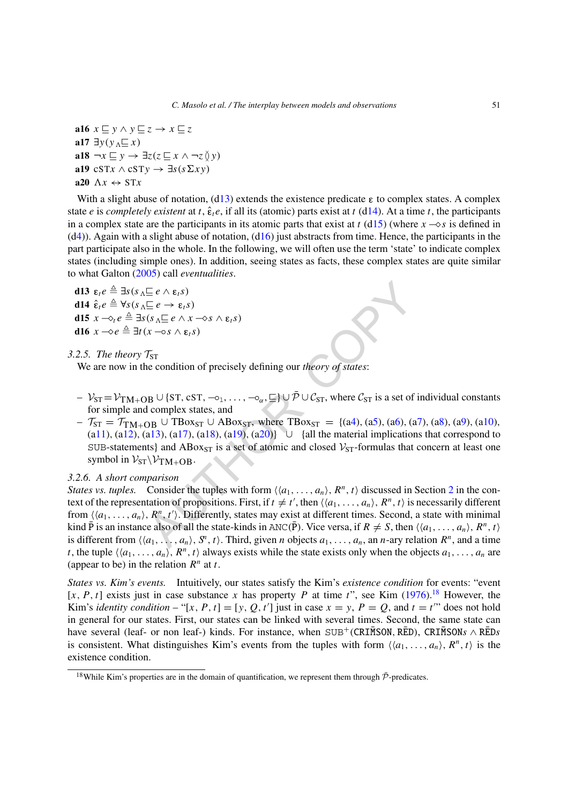<span id="page-10-2"></span><span id="page-10-1"></span><span id="page-10-0"></span>**a16**  $x \sqsubseteq y \land y \sqsubseteq z \rightarrow x \sqsubseteq z$ **a17** ∃*y*( $y$ <sub>∆</sub> $\subseteq$  *x*) **a18** ¬ $x \sqsubseteq y$  →  $\exists z (z \sqsubseteq x \land \neg z \lor y)$ **a19** cST*x* ∧ cST*y* → ∃*s*(*s*∑*xy*) **a20**  $\Lambda x \leftrightarrow STx$ 

<span id="page-10-4"></span><span id="page-10-3"></span>With a slight abuse of notation,  $(d13)$  $(d13)$  $(d13)$  extends the existence predicate  $\varepsilon$  to complex states. A complex state *e* is *completely existent* at *t*,  $\hat{\varepsilon}_t e$ , if all its (atomic) parts exist at *t* ([d14\)](#page-10-6). At a time *t*, the participants in a complex state are the participants in its atomic parts that exist at  $t$  ([d15\)](#page-10-7) (where  $x \rightarrow s$  is defined in  $(d4)$  $(d4)$ ). Again with a slight abuse of notation,  $(d16)$  $(d16)$  $(d16)$  just abstracts from time. Hence, the participants in the part participate also in the whole. In the following, we will often use the term 'state' to indicate complex states (including simple ones). I n addition, seeing states as facts, these comple x states are quite similar to what Galton [\(2005](#page-28-12) ) call *eventualities* .

<span id="page-10-7"></span><span id="page-10-6"></span><span id="page-10-5"></span>**d13**  $\varepsilon_t e \triangleq \exists s (s \triangle \sqsubseteq e \wedge \varepsilon_t s)$ **d14**  $\hat{\varepsilon}_t e \triangleq \forall s (s \triangle \sqsubseteq e \rightarrow \varepsilon_t s)$ **d15**  $x \rightarrow e$ <sup>*e*</sup>  $\stackrel{\Delta}{=} \exists s (s \land \sqsubseteq e \land x \rightarrow s \land \varepsilon_t s)$ **d16**  $x \rightarrow e \triangleq \exists t (x \rightarrow s \land \varepsilon_t s)$ 

## <span id="page-10-8"></span>3.2.5. The theory  $\mathcal{T}_{ST}$

We are now in the condition of precisely defining our *theory of states*:

- $-V_{ST} = V_{TM+OB} \cup \{ST, cST, -o_1, \ldots, -o_\alpha, \sqsubseteq\} \cup \bar{\mathcal{P}} \cup \mathcal{C}_{ST}$ , where  $\mathcal{C}_{ST}$  is a set of individual constants for simple and comple x states, and
- $-\mathcal{T}_{ST} = \mathcal{T}_{TM+OB} \cup TBox_{ST} \cup ABox_{ST}$ , where  $TBox_{ST} = \{(a4), (a5), (a6), (a7), (a8), (a9), (a10),$  $TBox_{ST} = \{(a4), (a5), (a6), (a7), (a8), (a9), (a10),$  $TBox_{ST} = \{(a4), (a5), (a6), (a7), (a8), (a9), (a10),$  $TBox_{ST} = \{(a4), (a5), (a6), (a7), (a8), (a9), (a10),$  $TBox_{ST} = \{(a4), (a5), (a6), (a7), (a8), (a9), (a10),$  $TBox_{ST} = \{(a4), (a5), (a6), (a7), (a8), (a9), (a10),$  $TBox_{ST} = \{(a4), (a5), (a6), (a7), (a8), (a9), (a10),$  $TBox_{ST} = \{(a4), (a5), (a6), (a7), (a8), (a9), (a10),$  $TBox_{ST} = \{(a4), (a5), (a6), (a7), (a8), (a9), (a10),$  $(a11)$  $(a11)$  $(a11)$ ,  $(a12)$  $(a12)$  $(a12)$ ,  $(a13)$ ,  $(a17)$ ,  $(a18)$ ,  $(a19)$ ,  $(a20)$ }  $\cup$  {all the material implications that correspond to SUB-statements} and  $ABox_{ST}$  is a set of atomic and closed  $V_{ST}$ -formulas that concern at least one symbol in  $\mathcal{V}_{ST} \backslash \mathcal{V}_{TM+OB}$ .

## *3.2.6. A short comparison*

 $\Box e \wedge \varepsilon_t s$ <br>  $\Box e \rightarrow \varepsilon_t s$ <br>  $(s \wedge \Box e \wedge x \rightarrow s \wedge \varepsilon_t s)$ <br>  $\overline{X}_{ST}$ <br>
are condition of precisely defining our theory of states:<br>  $\overline{B} \cup \{ST, \text{cST}, \neg o_1, \dots, \neg o_n, \Box\} \cup \overline{P} \cup C_{ST}$ , where  $C_{ST}$  is a set of<br>  $\overline{A} \cup \over$ *States vs. tuples.* Consider the tuples with form  $\langle \langle a_1, \ldots, a_n \rangle, R^n, t \rangle$  discussed in Section [2](#page-2-0) in the context of the representation of propositions. First, if  $t \neq t'$ , then  $\langle\langle a_1, \ldots, a_n \rangle, R^n, t\rangle$  is necessarily different from  $\langle\langle a_1,\ldots,a_n\rangle, R^n, t'\rangle$ . Differently, states may exist at different times. Second, a state with minimal kind  $\bar{P}$  is an instance also of all the state-kinds in ANC( $\bar{P}$ ). Vice versa, if  $R \neq S$ , then  $\langle \langle a_1, \ldots, a_n \rangle, R^n, t \rangle$ is different from  $\langle\langle a_1,\ldots,a_n\rangle, S^n, t\rangle$ . Third, given *n* objects  $a_1,\ldots,a_n$ , an *n*-ary relation  $R^n$ , and a time *t*, the tuple  $\langle \langle a_1, \ldots, a_n \rangle, R^n, t \rangle$  always exists while the state exists only when the objects  $a_1, \ldots, a_n$  are (appear to be) in the relation  $R^n$  at t.

States vs. Kim's events. Intuitively, our states satisfy the Kim's existence condition for events: "event [x, P, t] exists just in case substance x has property P at time t", see Kim  $(1976)$  $(1976)$ .<sup>18</sup> However, the Kim's *identity condition* – "[x, P, t] = [y, Q, t'] just in case  $x = y$ , P = Q, and t = t'" does not hold in general for our states. First, our states can be link e d with se v eral times. Second, the same state can have several (leaf- or non leaf-) kinds. For instance, when SUB<sup>+</sup>(CRIMSON, RED), CRIMSONs ∧ REDs is consistent. What distinguishes Kim's events from the tuples with form  $\langle\langle a_1,\ldots,a_n\rangle, R^n, t\rangle$  is the e xistence condition.

<span id="page-10-9"></span><sup>&</sup>lt;sup>18</sup>While Kim's properties are in the domain of quantification, we represent them through  $\bar{P}$ -predicates.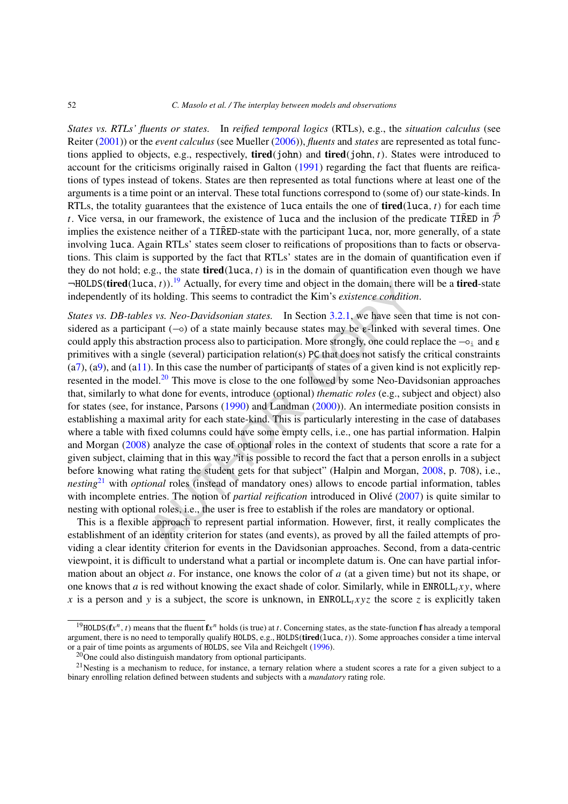*States vs. RTLs' fluents or states.* In *reified temporal logics* (RTLs), e.g., the *situation calculus* (see Reiter [\(2001\)](#page-29-18)) or the *event calculus* (see Mueller [\(2006\)](#page-29-19)), *fluents* and *states* are represented as total functions applied to objects, e.g., respectively, **tired***(*john*)* and **tired***(*john*, t)*. States were introduced to account for the criticisms originally raised in Galton [\(1991](#page-28-13)) regarding the fact that fluents are reifications of types instead of tokens. States are then represented as total functions where at least one of the arguments is a time point or an interval. These total functions correspond to (some of) our state-kinds. I n RTLs, the totality guarantees that the existence of luca entails the one of **tired**(luca,  $t$ ) for each time *t*. Vice versa, in our framework, the existence of luca and the inclusion of the predicate TIRED in  $\bar{P}$ implies the existence neither of a TIRED-state with the participant luca, nor, more generally, of a state involving luca. Again RTLs' states seem closer to reifications of propositions than to facts or observations. This claim is supported by the fact that RTLs' states are in the domain of quantification even if they do not hold; e.g., the state **tired**( $l$ uca,  $t$ ) is in the domain of quantification even though we have  $\neg$ **HOLDS**(**tired**(luca, t)).<sup>19</sup> Actually, for every time and object in the domain, there will be a **tired**-state independently of its holding. This seems t o contradict the Kim' s *existence condition* .

ca, *t*)).<sup>19</sup> Actually, for every time and object in the domain, there s holding. This seems to contradict the Kim's *existence condition* as *ys. Neo-Davidsonian states.* In Section 3.2.1, we have seen ipant ( $-\infty$ ) of States vs. DB-tables vs. Neo-Davidsonian states. In Section 3.2.1, we have seen that time is not considered as a participant ( $\sim$ ) of a state mainly because states may be  $\varepsilon$ -linked with several times. One could apply this abstraction process also to participation. More strongly, one could replace the  $-o_i$  and primitives with a single (several) participation relation(s) PC that does not satisfy the critical constraints  $(a7)$  $(a7)$ ,  $(a9)$  $(a9)$ , and  $(a11)$  $(a11)$ . In this case the number of participants of states of a given kind is not explicitly represented in the model.<sup>20</sup> This move is close to the one followed by some Neo-Davidsonian approaches that, similarly to what done for events, introduce (optional) *thematic roles* (e.g., subject and object) also for states (see, for instance, Parsons (1990) and Landman (2000)). An intermediate position consists in establishing a maximal arity for each state-kind. This is particularly interesting in the case of databases where a table with fixed columns could have some empty cells, i.e., one has partial information. Halpin and Morgan [\(2008](#page-28-14)) analyze the case of optional roles in the context of students that score a rate for a given subject, claiming that in this way "it is possible to record the fact that a person enrolls in a subject before knowing what rating the student gets for that subject" (Halpin and Morgan, [2008](#page-28-14), p. 708), i.e., *nesting*[21](#page-11-2) with *optional* roles (instead of mandatory ones) allows to encode partial information, tables with incomplete entries. The notion of *partial reification* introduced in Olivé (2007) is quite similar to nesting with optional roles, i.e., the user i s free t o establish i f the roles are mandatory or optional.

This is a flexible approach to represent partial information. However, first, it really complicates the establishment of an identity criterion for states (and events), as proved by all the failed attempts of providing a clear identity criterion for events in the Davidsonian approaches. Second, from a data-centric viewpoint, it is difficult to understand what a partial or incomplete datum is. One can have partial information about an object a. For instance, one knows the color of a (at a given time) but not its shape, or one knows that  $a$  is red without knowing the exact shade of color. Similarly, while in  $\text{ENROLL}_t xy$ , where x is a person and y is a subject, the score is unknown, in ENROLL<sub>t</sub>xyz the score z is explicitly taken

<span id="page-11-0"></span><sup>&</sup>lt;sup>19</sup>HOLDS( $\mathbf{f}$ *x*<sup>n</sup>, *t*) means that the fluent  $\mathbf{f}$ *x*<sup>n</sup> holds (is true) at *t*. Concerning states, as the state-function **f** has already a temporal argument, there is no need to temporally qualify HOLDS, e.g., HOLDS(tired(luca, t)). Some approaches consider a time interval or a pair of time points as arguments of HOLDS, see Vila and Reichgelt [\(1996](#page-30-0)).

<span id="page-11-2"></span><span id="page-11-1"></span><sup>&</sup>lt;sup>20</sup>One could also distinguish mandatory from optional participants.

 $^{21}$ Nesting is a mechanism to reduce, for instance, a ternary relation where a student scores a rate for a given subject to a binary enrolling relation defined between students and subjects with a *mandatory* rating role.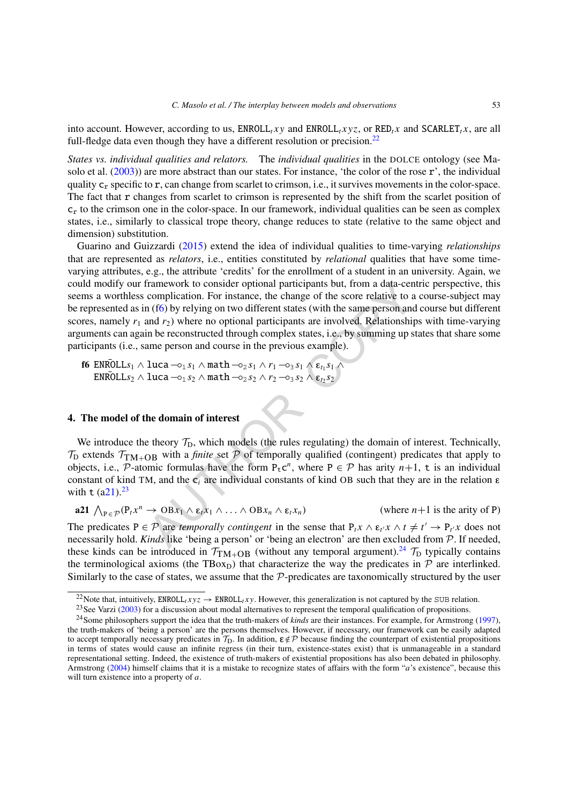into account. However, according to us, ENROLL<sub>t</sub>xy and ENROLL<sub>t</sub>xyz, or RED<sub>t</sub>x and SCARLET<sub>t</sub>x, are all full-fledge data even though they have a different resolution or precision.<sup>[22](#page-12-1)</sup>

*States* vs. *individual qualities and relators*. The *individual qualities* in the DOLCE ontology (see Masolo et al. [\(2003](#page-29-23))) are more abstract than our states. For instance, 'the color of the rose r', the individual quality  $c_r$  specific to  $r$ , can change from scarlet to crimson, i.e., it survives movements in the color-space. The fact that r changes from scarlet to crimson is represented by the shift from the scarlet position of c <sup>r</sup> to the crimson one in the color-space. In our frame w ork, individual qualities can be seen as comple x states, i.e., similarly to classical trope theory, change reduces to state (relative to the same object and dimension) substitution.

framework to consider optional participants but, from a data-cen<br>complication. For instance, the change of the score relative to a<br>  $n(f(6))$  by relying on two different states (with the same person and<br>  $r_2$ ) where no opt Guarino and Guizzardi [\(2015](#page-28-15)) extend the idea of individual qualities to time-varying *relationships* that are represented as *relators*, i.e., entities constituted by *relational* qualities that have some timevarying attributes, e.g., the attribute 'credits' for the enrollment of a student in an university. Again, we could modify our framework to consider optional participants but, from a data-centric perspective, this seems a worthless complication. For instance, the change of the score relative to a course-subject may be represented as in (f6) by relying on two different states (with the same person and course but different scores, namely  $r_1$  and  $r_2$ ) where no optional participants are involved. Relationships with time-varying arguments can again b e reconstructed through comple x states, i.e., b y summing up states that share some participants (i.e., same person and course in the previous e xample).

<span id="page-12-2"></span>**f6** ENROLL $s_1 \wedge$  luca  $\multimap_1 s_1 \wedge$  math  $\multimap_2 s_1 \wedge r_1 \multimap_3 s_1 \wedge \epsilon_{t_1} s_1 \wedge$  $\overline{ENROLL} s_2 \wedge \overline{L} s_2 \wedge \overline{L} s_2 \wedge \overline{L} s_1 \wedge \overline{L} s_2 \wedge \overline{L} s_2 \wedge \overline{L} s_2$ 

## <span id="page-12-0"></span>**4. The model of the domain o f interest**

We introduce the theory  $\mathcal{T}_D$ , which models (the rules regulating) the domain of interest. Technically,  $T_D$  extends  $T_{TM+OB}$  with a *finite* set  $P$  of temporally qualified (contingent) predicates that apply to objects, i.e., P-atomic formulas have the form  $P_t c^n$ , where  $P \in \mathcal{P}$  has arity  $n+1$ , t is an individual constant of kind TM, and the  $c_i$  are individual constants of kind OB such that they are in the relation with  $t (a21).^{23}$  $t (a21).^{23}$  $t (a21).^{23}$ 

<span id="page-12-3"></span>**a21**  $\bigwedge_{P \in \mathcal{P}} (P_t x^n \to \text{OB} x_1 \land \varepsilon_t x_1 \land \dots \land \text{OB} x_n \land \varepsilon_t x_n$ (where  $n+1$  is the arity of P)

The predicates  $P \in \mathcal{P}$  are *temporally contingent* in the sense that  $P_t x \wedge e_{t'} x \wedge t \neq t' \rightarrow P_{t'} x$  does not necessarily hold. *Kinds* like 'being a person' or 'being an electron' are then excluded from P. If needed, these kinds can be introduced in  $T_{TM+OB}$  (without any temporal argument).<sup>24</sup>  $T_D$  typically contains the terminological axioms (the TBox<sub>D</sub>) that characterize the way the predicates in  $P$  are interlinked. Similarly to the case of states, we assume that the  $P$ -predicates are taxonomically structured by the user

<span id="page-12-1"></span><sup>&</sup>lt;sup>22</sup>Note that, intuitively, ENROLL<sub>t</sub>*xyz*  $\rightarrow$  ENROLL<sub>t</sub>*xy*. However, this generalization is not captured by the SUB relation.

<span id="page-12-5"></span><span id="page-12-4"></span><sup>&</sup>lt;sup>23</sup>See Varzi [\(2003](#page-30-1)) for a discussion about modal alternatives to represent the temporal qualification of propositions.

<sup>&</sup>lt;sup>24</sup> Some philosophers support the idea that the truth-makers of *kinds* are their instances. For example, for Armstrong [\(1997](#page-28-16)), the truth-makers of 'being a person' are the persons themselves. However, if necessary, our framework can be easily adapted to accept temporally necessary predicates in  $\mathcal{T}_D$ . In addition,  $\varepsilon \notin \mathcal{P}$  because finding the counterpart of existential propositions in terms of states would cause an infinite regress (in their turn, existence-states exist) that is unmanageable in a standard representational setting. Indeed, the existence of truth-makers of existential propositions has also been debated in philosophy. Armstrong [\(2004](#page-28-17)) himself claims that it is a mistake to recognize states of affairs with the form "a's existence", because this will turn existence into a property of a.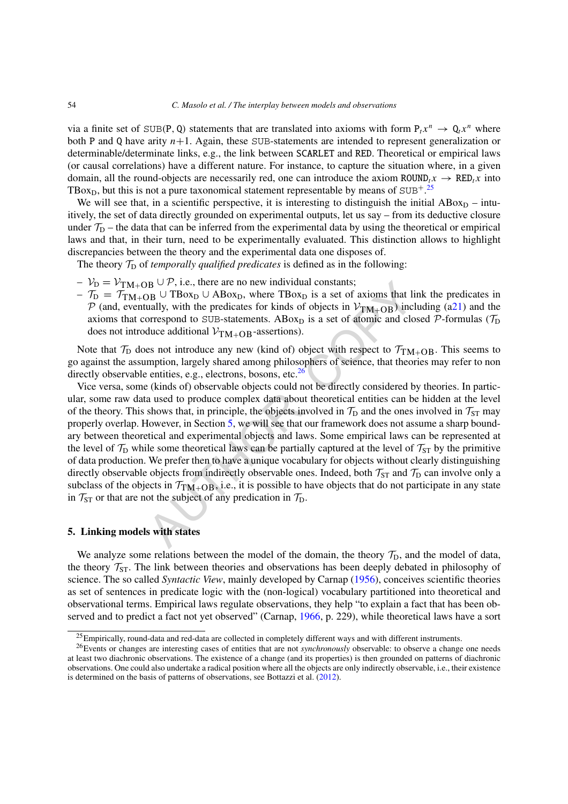via a finite set of SUB(P, Q) statements that are translated into axioms with form  $P_t x^n \to Q_t x^n$  where both P and Q have arity  $n+1$ . Again, these SUB-statements are intended to represent generalization or determinable/determinate links, e.g., the link between SCARLET and RED . Theoretical or empirical laws (or causal correlations) have a different nature. For instance, to capture the situation where, in a given domain, all the round-objects are necessarily red, one can introduce the axiom ROUND<sub>t</sub> $x \rightarrow \text{RED}_t x$  into TBox<sub>D</sub>, but this is not a pure taxonomical statement representable by means of  $SUB^{+25}$  $SUB^{+25}$  $SUB^{+25}$ 

We will see that, in a scientific perspective, it is interesting to distinguish the initial  $ABox<sub>D</sub> - intu$ itively, the set of data directly grounded on experimental outputs, let us say – from its deductive closure under  $T_D$  – the data that can be inferred from the experimental data by using the theoretical or empirical laws and that, in their turn, need to be experimentally evaluated. This distinction allows to highlight discrepancies between the theory and the experimental data one disposes of.

The theory  $T_D$  of *temporally qualified predicates* is defined as in the following:

- $V_{\text{D}} = V_{\text{TM}+\text{OB}} \cup \mathcal{P}$ , i.e., there are no new individual constants;
- $T_D = T_{TM+OB} \cup TB_{OX_D} \cup AB_{OX_D}$ , where TBox<sub>D</sub> is a set of axioms that link the predicates in  $\mathcal{P}$  (and, eventually, with the predicates for kinds of objects in  $V_{TM+OB}$ ) including ([a21\)](#page-12-3) and the axioms that correspond to SUB-statements. ABox<sub>D</sub> is a set of atomic and closed  $P$ -formulas ( $T_D$ ) does not introduce additional  $V_{TM+OB}$ -assertions).

Note that  $\mathcal{T}_D$  does not introduce any new (kind of) object with respect to  $\mathcal{T}_{TM+OB}$ . This seems to go against the assumption, lar gely shared among philosophers of science, that theories may refer to non directly observable entities, e.g., electrons, bosons, etc.<sup>26</sup>

 $\overline{DB} \cup \mathcal{P}$ , i.e., there are no new individual constants;<br>  $\overline{DB} \cup \overline{T}Box_D \cup ABox_D$ , where TBox<sub>D</sub> is a set of axioms that lially, with the predicates for kinds of objects in  $\mathcal{V}_{TM+OB}$ ) includily, with the predica Vice versa, some (kinds of) observable objects could not be directly considered by theories. In particular, some raw data used to produce complex data about theoretical entities can be hidden at the level of the theory. This shows that, in principle, the objects involved in  $\mathcal{T}_D$  and the ones involved in  $\mathcal{T}_{ST}$  may properly overlap. However, in Section 5, we will see that our framework does not assume a sharp boundary between theoretical and experimental objects and laws. Some empirical laws can be represented at the level of  $\mathcal{T}_D$  while some theoretical laws can be partially captured at the level of  $\mathcal{T}_{ST}$  by the primitive of data production. We prefer then to ha v e a unique v ocabulary for objects without clearly distinguishing directly observable objects from indirectly observable ones. Indeed, both  $\mathcal{T}_{ST}$  and  $\mathcal{T}_{D}$  can involve only a subclass of the objects in  $\tau_{TM+OB}$ , i.e., it is possible to have objects that do not participate in any state in  $\mathcal{T}_{ST}$  or that are not the subject of any predication in  $\mathcal{T}_{D}$ .

## <span id="page-13-2"></span>**5. Linking models with states**

We analyze some relations between the model of the domain, the theory  $\mathcal{T}_D$ , and the model of data, the theory  $\mathcal{T}_{ST}$ . The link between theories and observations has been deeply debated in philosophy of science. The so called *Syntactic View*, mainly developed by Carnap [\(1956\)](#page-28-18), conceives scientific theories as set o f sentences in predicate logic with the (non-logical) vocabulary partitioned into theoretical and observational terms. Empirical laws regulate observations, they help "to explain a fact that has been ob-served and to predict a fact not yet observed" (Carnap, [1966,](#page-28-19) p. 229), while theoretical laws have a sort

<span id="page-13-1"></span><span id="page-13-0"></span> $^{25}$ Empirically, round-data and red-data are collected in completely different ways and with different instruments.

<sup>&</sup>lt;sup>26</sup>Events or changes are interesting cases of entities that are not *synchronously* observable: to observe a change one needs at least two diachronic observations. The existence of a change (and its properties) is then grounded on patterns of diachronic observ ations. One could also undertak e a radical position where all the objects are only indirectly observ able, i.e., their e xistence is determined on the basis of patterns of observations, see Bottazzi et al. [\(2012](#page-28-20)).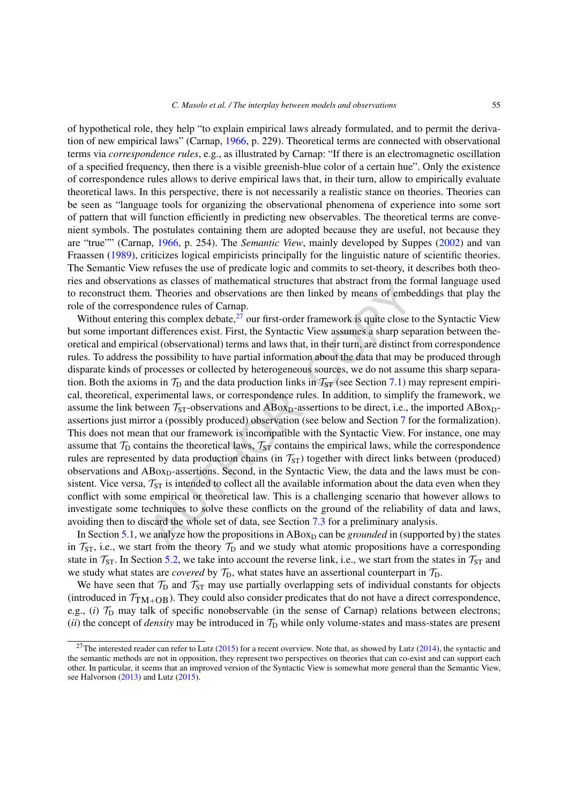of hypothetical role, they help "to explain empirical laws already formulated, and to permit the deriva-tion of new empirical laws" (Carnap, [1966](#page-28-19), p. 229). Theoretical terms are connected with observational terms via *correspondence rules* , e.g., as illustrated b y Carnap: "If there is an electromagnetic oscillation of a specified frequenc y , then there i s a visible greenish-blue color o f a certain hue". Only the existence of correspondence rules allows to derive empirical laws that, in their turn, allow to empirically evaluate theoretical laws. In this perspective, there is not necessarily a realistic stance on theories. Theories can be seen as "language tools for organizing the observ ational phenomena o f experience into some sort of pattern that will function e fficiently in predicting n e w observ ables. The theoretical terms are convenient symbols. The postulates containing them are adopted because they are useful, not because they are "true"" (Carnap, [1966](#page-28-19), p. 254). The *Semantic View*, mainly developed by Suppes [\(2002\)](#page-29-24) and van Fraassen [\(1989\)](#page-29-25), criticizes logical empiricists principally for the linguistic nature of scientific theories. The Semantic View refuses the use of predicate logic and commits to set-theory, it describes both theories and observations as classes of mathematical structures that abstract from the formal language used to reconstruct them. Theories and observations are then linked by means of embeddings that play the role of the correspondence rules of Carnap.

Ins as classes of mathematical structures that abstract from the re-<br>
In. Theories and observations are then linked by means of embe<br>
In. Theories and observations are then linked by means of embe<br>
this complex debate,<sup>27</sup> Without entering this complex debate,<sup>27</sup> our first-order framework is quite close to the Syntactic View but some important differences exist. First, the Syntactic View assumes a sharp separation between theoretical and empirical (observational) terms and laws that, in their turn, are distinct from correspondence rules. To address the possibility to have partial information about the data that may be produced through disparate kinds of processes or collected by heterogeneous sources, we do not assume this sharp separation. Both the axioms in  $\mathcal{T}_D$  and the data production links in  $\mathcal{T}_{ST}$  (see Section 7.1) may represent empirical, theoretical, experimental laws, or correspondence rules. In addition, to simplify the framework, we assume the link between  $\mathcal{T}_{ST}$ -observations and ABox<sub>D</sub>-assertions to be direct, i.e., the imported ABox<sub>D</sub>assertions just mirror a (possibly produced) observ ation (see belo w and Section 7 for the formalization). This does not mean that our framework is incompatible with the Syntactic View. For instance, one may assume that  $\mathcal{T}_D$  contains the theoretical laws,  $\mathcal{T}_{ST}$  contains the empirical laws, while the correspondence rules are represented by data production chains (in  $T_{ST}$ ) together with direct links between (produced) observations and ABox<sub>D</sub>-assertions. Second, in the Syntactic View, the data and the laws must be consistent. Vice versa,  $\mathcal{T}_{ST}$  is intended to collect all the available information about the data even when they conflict with some empirical or theoretical law. This is a challenging scenario that however allows to investigate some techniques to solve these conflicts on the ground of the reliability of data and laws, avoiding then to discard the whole set of data, see Section 7.3 for a preliminary analysis.

In Section [5.1](#page-16-0) , w e analyze ho w the propositions in ABox <sup>D</sup> can be *grounded* in (supported by) the states in  $\mathcal{T}_{ST}$ , i.e., we start from the theory  $\mathcal{T}_{D}$  and we study what atomic propositions have a corresponding state in  $\mathcal{T}_{ST}$ . In Section [5.2](#page-17-0), we take into account the reverse link, i.e., we start from the states in  $\mathcal{T}_{ST}$  and we study what states are *covered* by  $\mathcal{T}_D$ , what states have an assertional counterpart in  $\mathcal{T}_D$ .

We have seen that  $T_D$  and  $T_{ST}$  may use partially overlapping sets of individual constants for objects (introduced in  $\mathcal{T}_{TM+OB}$ ). They could also consider predicates that do not have a direct correspondence, e.g., (*i*)  $T_D$  may talk of specific nonobservable (in the sense of Carnap) relations between electrons;  $(iii)$  the concept of *density* may be introduced in  $T_D$  while only volume-states and mass-states are present

<span id="page-14-0"></span><sup>&</sup>lt;sup>27</sup>The interested reader can refer to Lutz [\(2015](#page-29-26)) for a recent overview. Note that, as showed by Lutz [\(2014](#page-29-27)), the syntactic and the semantic methods are not in opposition, they represent two perspectives on theories that can co-exist and can support each other. In particular, it seems that an improved version of the Syntactic View is somewhat more general than the Semantic View, see Halvorson [\(2013\)](#page-28-21) and Lutz [\(2015\)](#page-29-26).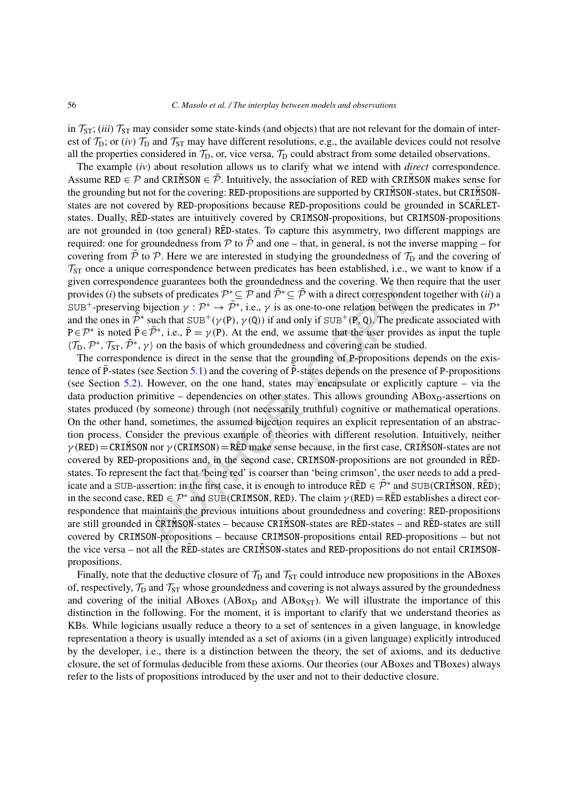in  $\mathcal{T}_{ST}$ ; *(iii)*  $\mathcal{T}_{ST}$  may consider some state-kinds (and objects) that are not relevant for the domain of interest of  $\mathcal{T}_D$ ; or (*iv*)  $\mathcal{T}_D$  and  $\mathcal{T}_{ST}$  may have different resolutions, e.g., the available devices could not resolve all the properties considered in  $\mathcal{T}_D$ , or, vice versa,  $\mathcal{T}_D$  could abstract from some detailed observations.

The example (iv) about resolution allows us to clarify what we intend with *direct* correspondence. Assume RED  $\in \mathcal{P}$  and CRIMSON  $\in \bar{\mathcal{P}}$ . Intuitively, the association of RED with CRIMSON makes sense for the grounding but not for the covering: RED-propositions are supported by CRIMSON-states, but CRIMSONstates are not covered by RED-propositions because RED-propositions could be grounded in SCARLETstates. Dually, RED-states are intuitively covered by CRIMSON-propositions, but CRIMSON-propositions are not grounded in (too general) RED-states. To capture this asymmetry, two different mappings are required: one for groundedness from  $P$  to  $\bar{P}$  and one – that, in general, is not the inverse mapping – for covering from  $\bar{p}$  to  $\mathcal{P}$ . Here we are interested in studying the groundedness of  $\mathcal{T}_D$  and the covering of  $\mathcal{T}_{ST}$  once a unique correspondence between predicates has been established, i.e., we want to know if a given correspondence guarantees both the groundedness and the covering. We then require that the user provides (*i*) the subsets of predicates  $\mathcal{P}^* \subseteq \mathcal{P}$  and  $\bar{\mathcal{P}}^* \subseteq \bar{\mathcal{P}}$  with a direct correspondent together with (*ii*) a SUB<sup>+</sup>-preserving bijection  $\gamma : \mathcal{P}^* \to \bar{\mathcal{P}}^*$ , i.e.,  $\gamma$  is as one-to-one relation between the predicates in  $\mathcal{P}^*$ and the ones in  $\bar{\bar{\mathcal{P}}}^*$  such that  $\supseteq U B^+(\gamma(P), \gamma(Q))$  if and only if  $SUB^+(P, Q)$ . The predicate associated with  $P \in \mathcal{P}^*$  is noted  $\bar{P} \in \bar{\mathcal{P}}^*$ , i.e.,  $\bar{P} = \gamma(P)$ . At the end, we assume that the user provides as input the tuple  $\langle \mathcal{T}_D, \mathcal{P}^*, \mathcal{T}_{ST}, \bar{\mathcal{P}}^*, \gamma \rangle$  on the basis of which groundedness and covering can be studied.

note guarantees both the groundedness and the covering. We then<br>sets of predicates  $\mathcal{P}^* \subseteq \mathcal{P}$  and  $\mathcal{P}^* \subseteq \mathcal{P}$  with a direct corresponder<br>bijection  $\gamma : \mathcal{P}^* \to \mathcal{P}^*$ , i.e.,  $\gamma$  is a one-to-one relatio The correspondence is direct in the sense that the grounding of P-propositions depends on the existence of  $\bar{P}$ -states (see Section 5.1) and the covering of  $\bar{P}$ -states depends on the presence of P-propositions (see Section  $5.2$ ). However, on the one hand, states may encapsulate or explicitly capture – via the data production primitive – dependencies on other states. This allows grounding ABox<sub>D</sub>-assertions on states produced (by someone) through (not necessarily truthful) cognitive or mathematical operations. On the other hand, sometimes, the assumed bijection requires an explicit representation of an abstraction process. Consider the previous example of theories with different resolution. Intuitively, neither  $\gamma$  (RED) = CRIMSON nor  $\gamma$  (CRIMSON) = RED make sense because, in the first case, CRIMSON-states are not covered by RED-propositions and, in the second case, CRIMSON-propositions are not grounded in REDstates. To represent the fact that 'being red' is coarser than 'being crimson', the user needs to add a predicate and a SUB-assertion: in the first case, it is enough to introduce  $\overline{RED} \in \overline{\mathcal{P}}^*$  and SUB(CRIMSON,  $\overline{RED}$ ); in the second case,  $RED \in \mathcal{P}^*$  and  $SUB(CRIMSON, RED)$ . The claim  $\gamma$  (RED) = RED establishes a direct correspondence that maintains the previous intuitions about groundedness and covering: RED-propositions are still grounded in CRIMSON-states - because CRIMSON-states are RED-states - and RED-states are still covered by CRIMSON-propositions - because CRIMSON-propositions entail RED-propositions - but not the vice versa - not all the RED-states are CRIMSON-states and RED-propositions do not entail CRIMSONpropositions.

Finally, note that the deductive closure of  $\mathcal{T}_D$  and  $\mathcal{T}_{ST}$  could introduce new propositions in the ABoxes of, respectively,  $T_D$  and  $T_{ST}$  whose groundedness and covering is not always assured by the groundedness and covering of the initial ABoxes ( $ABox<sub>D</sub>$  and  $ABox<sub>ST</sub>$ ). We will illustrate the importance of this distinction in the following. For the moment, it is important to clarify that we understand theories as KBs. While logicians usually reduce a theory to a set of sentences in a given language, in knowledge representation a theory is usually intended as a set of axioms (in a given language) explicitly introduced by the developer, i.e., there is a distinction between the theory, the set of axioms, and its deductive closure, the set of formulas deducible from these axioms. Our theories (our ABoxes and TBox es) al w ays refer to the lists of propositions introduced by the user and not to their deductive closure.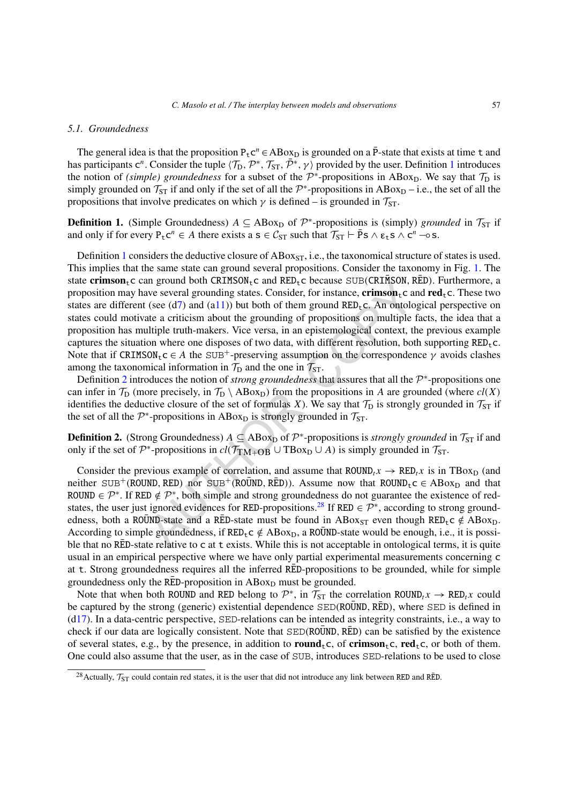#### <span id="page-16-0"></span>*5.1. Groundedness*

The general idea is that the proposition  $P_t c^n \in ABo x_D$  is grounded on a  $\bar{P}$ -state that exists at time t and has participants  $c^n$ . Consider the tuple  $\langle \mathcal{T}_D, \mathcal{P}^*, \mathcal{T}_{ST}, \bar{\mathcal{P}}^*, \gamma \rangle$  provided by the user. Definition [1](#page-16-1) introduces the notion of *(simple)* groundedness for a subset of the  $\mathcal{P}^*$ -propositions in ABox<sub>D</sub>. We say that  $\mathcal{T}_D$  is simply grounded on  $\mathcal{T}_{ST}$  if and only if the set of all the  $\mathcal{P}^*$ -propositions in ABox<sub>D</sub> – i.e., the set of all the propositions that involve predicates on which  $\gamma$  is defined – is grounded in  $\mathcal{T}_{ST}$ .

<span id="page-16-1"></span>**Definition 1.** (Simple Groundedness)  $A \subseteq \text{ABox}_D$  of  $\mathcal{P}^*$ -propositions is (simply) *grounded* in  $\mathcal{T}_{ST}$  if and only if for every  $P_t c^n \in A$  there exists a  $s \in C_{ST}$  such that  $\mathcal{T}_{ST} \vdash \bar{P} s \wedge \varepsilon_t s \wedge c^n \multimap s$ .

In ground boun CRIFISON<sub>t</sub>C and KED<sub>t</sub>C because SUB(CKIFISON, R<br>we several grounding states. Consider, for instance, **crimson**<sub>t</sub> can<br>(see (d7) and (a11)) but both of them ground RED<sub>t</sub>C. An ontole<br>(see (d7) and (a11)) bu Definition [1](#page-16-1) considers the deductive closure of  $ABox_{ST}$ , i.e., the taxonomical structure of states is used. This implies that the same state can ground several propositions. Consider the taxonomy in Fig. [1.](#page-7-4) The state  $\text{crimson}_\text{t}$  c can ground both CRIMSON<sub>t</sub> c and RED<sub>t</sub> c because SUB(CRIMSON, RED). Furthermore, a proposition may have several grounding states. Consider, for instance, crimson<sub>t</sub>c and red<sub>t</sub>c. These two states are different (see  $(d7)$  and  $(a11)$ ) but both of them ground RED<sub>t</sub>c. An ontological perspective on states could motivate a criticism about the grounding of propositions on multiple facts, the idea that a proposition has multiple truth-makers. Vice versa, in an epistemological context, the previous example captures the situation where one disposes of two data, with different resolution, both supporting RED<sub>t</sub>c. Note that if CRIMSON<sub>t</sub>c  $\in$  *A* the SUB<sup>+</sup>-preserving assumption on the correspondence  $\gamma$  avoids clashes among the taxonomical information in  $T_D$  and the one in  $T_{ST}$ .

Definition [2](#page-16-2) introduces the notion of *strong groundedness* that assures that all the P<sup>∗</sup>-propositions one can infer in  $\mathcal{T}_D$  (more precisely, in  $\mathcal{T}_D \setminus \text{ABox}_D$ ) from the propositions in A are grounded (where  $cl(X)$ ) identifies the deductive closure of the set of formulas *X*). We say that  $\mathcal{T}_D$  is strongly grounded in  $\mathcal{T}_{ST}$  if the set of all the  $\mathcal{P}^*$ -propositions in ABox<sub>D</sub> is strongly grounded in  $\mathcal{T}_{ST}$ .

<span id="page-16-2"></span>**Definition 2.** (Strong Groundedness)  $A \subseteq ABox_D$  of  $\mathcal{P}^*$ -propositions is *strongly grounded* in  $\mathcal{T}_{ST}$  if and only if the set of  $\mathcal{P}^*$ -propositions in  $cl(\mathcal{T}_{TM+OB} \cup TBox_D \cup A)$  is simply grounded in  $\mathcal{T}_{ST}$ .

Consider the previous example of correlation, and assume that  $\text{ROUND}_t x \to \text{RED}_t x$  is in  $\text{TBox}_D$  (and neither  $SUB^+($ **ROUND**, RED) nor  $SUB^+($ **ROUND**, RED). Assume now that  $ROWD_t c \in ABox_D$  and that ROUND  $\in \mathcal{P}^*$ . If RED  $\notin \mathcal{P}^*$ , both simple and strong groundedness do not guarantee the existence of redstates, the user just ignored evidences for RED-propositions.<sup>28</sup> If RED  $\in \mathcal{P}^*$ , according to strong groundedness, both a ROUND-state and a RED-state must be found in ABox<sub>ST</sub> even though RED<sub>t</sub>c  $\notin$  ABox<sub>D</sub>. According to simple groundedness, if  $RED<sub>t</sub> c \notin ABox<sub>D</sub>$ , a ROUND-state would be enough, i.e., it is possible that no RED-state relative to c at  $\tau$  exists. While this is not acceptable in ontological terms, it is quite usual in an empirical perspective where we have only partial experimental measurements concerning c at t. Strong groundedness requires all the inferred RED-propositions to be grounded, while for simple groundedness only the RED-proposition in  $ABox<sub>D</sub>$  must be grounded.

Note that when both ROUND and RED belong to  $\mathcal{P}^*$ , in  $\mathcal{T}_{ST}$  the correlation ROUND<sub>*t*</sub> $x \to \text{RED}_t x$  could be captured by the strong (generic) existential dependence SED(ROUND, RED), where SED is defined in  $(d17)$  $(d17)$ . In a data-centric perspective, SED-relations can be intended as integrity constraints, i.e., a way to check if our data are logically consistent. Note that SED(ROUND, RED) can be satisfied by the existence of several states, e.g., by the presence, in addition to **round**<sub>t</sub>c, of **crimson**<sub>t</sub>c, **red**<sub>t</sub>c, or both of them. One could also assume that the user, as in the case of SUB, introduces SED-relations to be used to close

<span id="page-16-3"></span><sup>&</sup>lt;sup>28</sup> Actually,  $\mathcal{T}_{ST}$  could contain red states, it is the user that did not introduce any link between RED and RED.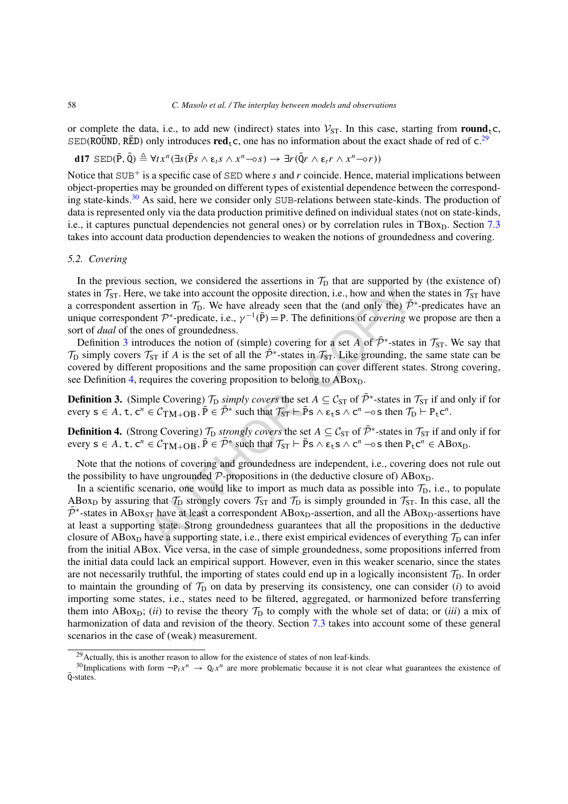or complete the data, i.e., to add new (indirect) states into  $V_{ST}$ . In this case, starting from **round**<sub>t</sub>c, SED(ROUND, RED) only introduces red<sub>t</sub>c, one has no information about the exact shade of red of c.<sup>[29](#page-17-2)</sup>

<span id="page-17-1"></span>d17 
$$
\text{SED}(\bar{P}, \bar{Q}) \triangleq \forall tx^n (\exists s (\bar{P}s \wedge \epsilon_t s \wedge x^n - \circ s) \rightarrow \exists r (\bar{Q}r \wedge \epsilon_t r \wedge x^n - \circ r))
$$

Notice that SUB<sup>+</sup> is a specific case of SED where *s* and *r* coincide. Hence, material implications between object-properties may be grounded o n different types o f existential dependence between the correspond-ing state-kinds.<sup>[30](#page-17-3)</sup> As said, here we consider only SUB-relations between state-kinds. The production of data is represented only via the data production primitive defined on individual states (not on state-kinds, i.e., it captures punctual dependencies not general ones) or by correlation rules in TBox<sub>D</sub>. Section [7.3](#page-22-0) takes into account data production dependencies to weaken the notions of groundedness and covering.

#### <span id="page-17-0"></span>*5.2. Covering*

In the previous section, we considered the assertions in  $T_D$  that are supported by (the existence of) states in  $\mathcal{T}_{ST}$ . Here, we take into account the opposite direction, i.e., how and when the states in  $\mathcal{T}_{ST}$  have a correspondent assertion in  $\mathcal{T}_D$ . We have already seen that the (and only the)  $\bar{\mathcal{P}}^*$ -predicates have an unique correspondent  $\mathcal{P}^*$ -predicate, i.e.,  $\gamma^{-1}(\bar{P}) = P$ . The definitions of *covering* we propose are then a sort of *dual* of the ones of groundedness.

Definition [3](#page-17-4) introduces the notion of (simple) covering for a set *A* of  $\bar{\mathcal{P}}^*$ -states in  $\mathcal{T}_{ST}$ . We say that  $\mathcal{T}_D$  simply covers  $\mathcal{T}_{ST}$  if *A* is the set of all the  $\bar{\mathcal{P}}^*$ -states in  $\mathcal{T}_{ST}$ . Like grounding, the same state can be covered by different propositions and the same proposition can cover different states. Strong covering, see Definition [4](#page-17-5), requires the covering proposition to belong to ABox<sub>D</sub>.

<span id="page-17-4"></span>**Definition 3.** (Simple Covering)  $T_D$  *simply covers* the set  $A \subseteq C_{ST}$  of  $\overline{P}^*$ -states in  $T_{ST}$  if and only if for every  $s \in A$ ,  $t, c^n \in C_{TM+OB}$ ,  $\bar{P} \in \bar{\mathcal{P}}^*$  such that  $\mathcal{T}_{ST} \vdash \bar{P}s \wedge \bar{\varepsilon}_t s \wedge c^n \multimap s$  then  $\mathcal{T}_D \vdash P_t c^n$ .

<span id="page-17-5"></span>**Definition 4.** (Strong Covering)  $\mathcal{T}_D$  *strongly covers* the set  $A \subseteq C_{ST}$  of  $\overline{\mathcal{P}}^*$ -states in  $\mathcal{T}_{ST}$  if and only if for every  $s \in A$ ,  $t, c^n \in C_{TM+OB}$ ,  $\overline{P} \in \overline{\mathcal{P}}^*$  such that  $\mathcal{T}_{ST} \vdash \overline{P}s \wedge \overline{\varepsilon_t s} \wedge c^n \multimap s$  then  $P_t c^n \in AB \infty_D$ .

Note that the notions of covering and groundedness are independent, i.e., covering does not rule out the possibility to have ungrounded  $P$ -propositions in (the deductive closure of)  $ABox_D$ .

section, we considered the assertions in  $I_D$  that are supported to<br>section, we consourt the opposite direction, i.e., how and when t<br>sestriton in  $T_D$ . We have already seen that the (and only the)  $\overline{P}$ <br>ent  $P^*$ -pred In a scientific scenario, one would like to import as much data as possible into  $\mathcal{T}_D$ , i.e., to populate ABox<sub>D</sub> by assuring that  $\mathcal{T}_D$  strongly covers  $\mathcal{T}_{ST}$  and  $\mathcal{T}_D$  is simply grounded in  $\mathcal{T}_{ST}$ . In this case, all the  $\bar{P}^*$ -states in ABox<sub>ST</sub> have at least a correspondent ABox<sub>D</sub>-assertion, and all the ABox<sub>D</sub>-assertions have at least a supporting state. Strong groundedness guarantees that all the propositions in the deductive closure of ABox<sub>D</sub> have a supporting state, i.e., there exist empirical evidences of everything  $\mathcal{T}_D$  can infer from the initial ABox. Vice v ersa, in the case o f simple groundedness, some propositions inferred from the initial data could lack an empirical support. Howe v e r , e ven in this weaker scenario, since the states are not necessarily truthful, the importing of states could end up in a logically inconsistent  $\mathcal{T}_D$ . In order to maintain the grounding of  $T_D$  on data by preserving its consistency, one can consider (*i*) to avoid importing some states, i.e., states need to be filtered, aggre gated, o r harmonized before transferring them into  $ABox_D$ ; *(ii)* to revise the theory  $T_D$  to comply with the whole set of data; or *(iii)* a mix of harmonization of data and revision of the theory. Section [7.3](#page-22-0) takes into account some of these general scenarios i n the case o f (weak) measurement.

<span id="page-17-3"></span><span id="page-17-2"></span> $29$  Actually, this is another reason to allow for the existence of states of non leaf-kinds.

<sup>&</sup>lt;sup>30</sup>Implications with form  $\neg P_t x^n \to Q_t x^n$  are more problematic because it is not clear what guarantees the existence of  $\bar{Q}$ -states.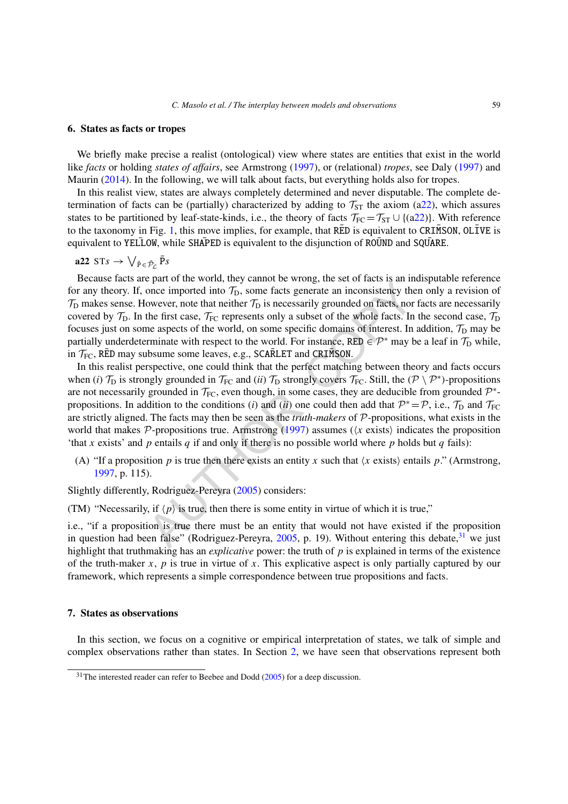## <span id="page-18-0"></span>**6. States as facts o r t r opes**

We briefly make precise a realist (ontological) view where states are entities that exist in the world like *facts* or holding *states of affairs*, see Armstrong [\(1997](#page-28-16)), or (relational) *tropes*, see Daly [\(1997\)](#page-28-5) and Maurin [\(2014](#page-29-4)). In the following, we will talk about facts, but everything holds also for tropes.

In this realist view, states are always completely determined and never disputable. The complete determination of facts can be (partially) characterized by adding to  $\mathcal{T}_{ST}$  the axiom ([a22\)](#page-18-2), which assures states to be partitioned by leaf-state-kinds, i.e., the theory of facts  $\mathcal{T}_{FC} = \mathcal{T}_{ST} \cup \{(a22)\}\)$  $\mathcal{T}_{FC} = \mathcal{T}_{ST} \cup \{(a22)\}\)$  $\mathcal{T}_{FC} = \mathcal{T}_{ST} \cup \{(a22)\}\)$ . With reference to the taxonomy in Fig. [1](#page-7-4), this move implies, for example, that RED is equivalent to CRIMSON, OLIVE is equivalent to YELLOW, while SHAPED is equivalent to the disjunction of ROUND and SQUARE.

<span id="page-18-2"></span>
$$
\mathbf{a22} \ \mathrm{ST} \mathbf{s} \to \bigvee_{\bar{\mathbf{P}} \in \bar{\mathcal{P}}_{\mathcal{L}}} \bar{\mathbf{P}} \mathbf{s}
$$

Because facts are part of the world, they cannot be wrong, the set of facts is an indisputable reference for any theory. If, once imported into  $\mathcal{T}_D$ , some facts generate an inconsistency then only a revision of  $\mathcal{T}_D$  makes sense. However, note that neither  $\mathcal{T}_D$  is necessarily grounded on facts, nor facts are necessarily covered by  $\mathcal{T}_D$ . In the first case,  $\mathcal{T}_{FC}$  represents only a subset of the whole facts. In the second case,  $\mathcal{T}_D$ focuses just on some aspects of the world, on some specific domains of interest. In addition,  $\mathcal{T}_D$  may be partially underdeterminate with respect to the world. For instance, RED  $\in \mathcal{P}^*$  may be a leaf in  $\mathcal{T}_D$  while, in  $\mathcal{T}_{FC}$ , RED may subsume some leaves, e.g., SCARLET and CRIMSON.

part of are word, are yearmoto ex words, the set of racks is an am-<br>once imported into  $T_D$ , some facts generate an inconsistency the<br>overer, note that neither  $T_D$  is necessarily grounded on facts, nor<br>the first case,  $T$ In this realist perspecti ve, one could think that the perfect matching between theory and facts occurs when (*i*)  $\mathcal{T}_{D}$  is strongly grounded in  $\mathcal{T}_{FC}$  and (*ii*)  $\mathcal{T}_{D}$  strongly covers  $\mathcal{T}_{FC}$ . Still, the  $(\mathcal{P} \setminus \mathcal{P}^*)$ -propositions are not necessarily grounded in  $\mathcal{T}_{FC}$ , even though, in some cases, they are deducible from grounded  $\mathcal{P}^*$ propositions. In addition to the conditions (*i*) and (*ii*) one could then add that  $P^* = P$ , i.e.,  $T_D$  and  $T_{FC}$ are strictly aligned. The facts may then be seen as the *truth-makers* of  $P$ -propositions, what exists in the world that makes P-propositions true. Armstrong (1997) assumes ( $\langle x \text{ exists} \rangle$  indicates the proposition 'that x exists' and p entails q if and only if there is no possible world where p holds but q fails):

(A) "If a proposition p is true then there exists an entity x such that  $\langle x \text{ exists} \rangle$  entails p." (Armstrong, [1997](#page-28-16) , p . 115).

Slightly differently , Rodriguez-Pereyra (2005 ) considers:

(TM) "Necessarily, if  $\langle p \rangle$  is true, then there is some entity in virtue of which it is true,"

i.e., "if a proposition is true there must be an entity that would not have existed if the proposition in question had been false" (Rodriguez-Pereyra, 2005, p. 19). Without entering this debate, <sup>31</sup> we just highlight that truthmaking has an *explicative* power: the truth of  $p$  is explained in terms of the existence of the truth-maker x, p is true in virtue of x. This explicative aspect is only partially captured by our frame w ork, which represents a simple correspondence between true propositions and facts.

## <span id="page-18-1"></span>**7. States as obser vations**

In this section, we focus on a cognitive or empirical interpretation of states, we talk of simple and complex observations rather than states. In Section [2](#page-2-0), we have seen that observations represent both

<span id="page-18-3"></span> $31$ The interested reader can refer to Beebee and Dodd [\(2005](#page-28-22)) for a deep discussion.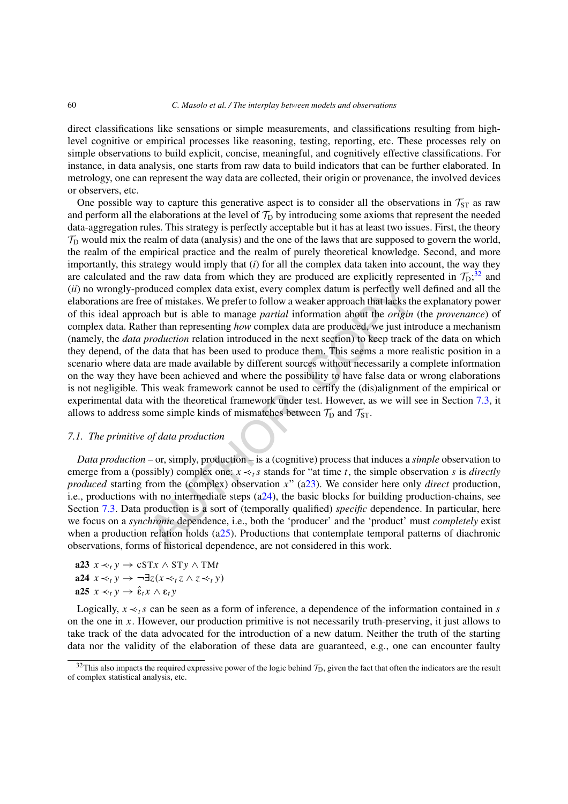direct classifications like sensations or simple measurements, and classifications resulting from highlevel cognitive or empirical processes like reasoning, testing, reporting, etc. These processes rely on simple observations to build explicit, concise, meaningful, and cognitively effective classifications. For instance, in data analysis, one starts from raw data to build indicators that can be further elaborated. In metrology, one can represent the way data are collected, their origin or provenance, the involved devices or observ ers, etc.

or<br>doduced complex data exist, every complex datum is perfectly we<br>ee of mistakes. We prefer to follow a weaker approach that lacks the<br>ach but is able to manage *partial* information about the *origin*<br>per than represent One possible way to capture this generative aspect is to consider all the observations in  $\mathcal{T}_{ST}$  as raw and perform all the elaborations at the level of  $\mathcal{T}_D$  by introducing some axioms that represent the needed data-aggregation rules. This strategy is perfectly acceptable but it has at least two issues. First, the theory  $\mathcal{T}_D$  would mix the realm of data (analysis) and the one of the laws that are supposed to govern the world, the realm of the empirical practice and the realm of purely theoretical knowledge. Second, and more importantly, this strategy would imply that (*i*) for all the complex data taken into account, the way they are calculated and the raw data from which they are produced are explicitly represented in  $\mathcal{T}_D$ ;<sup>[32](#page-19-1)</sup>, and (ii) no wrongly-produced complex data exist, every complex datum is perfectly well defined and all the elaborations are free o f mistak es. We prefer to follo w a weaker approach that lacks the explanatory p o wer of this ideal approach but is able to manage *partial* information about the *origin* (the *provenance*) of complex data. Rather than representing *how* complex data are produced, we just introduce a mechanism (namely, the *data production* relation introduced in the next section) to keep track of the data on which they depend, of the data that has been used to produce them. This seems a more realistic position in a scenario where data are made available by different sources without necessarily a complete information on the way they have been achieved and where the possibility to have false data or wrong elaborations is not negligible. This weak frame w ork cannot be used to certify the (dis)alignment o f the empirical or experimental data with the theoretical framework under test. However, as we will see in Section [7.3,](#page-22-0) it allows to address some simple kinds of mismatches between  $T_D$  and  $T_{ST}$ .

## <span id="page-19-0"></span>*7.1. The primitive of data p roduction*

Data production – or, simply, production – is a (cognitive) process that induces a *simple* observation to emerge from a (possibly) complex one:  $x \prec_t s$  stands for "at time t, the simple observation s is *directly produced* starting from the (comple x ) observ ation *x*" ( a23). We consider here only *direct* production, i.e., productions with no intermediate steps ( a24), the basic blocks for building production-chains, see Section [7.3](#page-22-0). Data production is a sort of (temporally qualified) *specific* dependence. In particular, here we focus on a *synchronic* dependence, i.e., both the 'producer' and the 'product' must *completely* exist when a production relation holds (a25). Productions that contemplate temporal patterns of diachronic observations, forms of historical dependence, are not considered in this work.

<span id="page-19-3"></span><span id="page-19-2"></span>**a23** 
$$
x \prec_t y \rightarrow \text{cST} x \wedge \text{ST} y \wedge \text{T} M t
$$
  
\n**a24**  $x \prec_t y \rightarrow \neg \exists z (x \prec_t z \wedge z \prec_t y)$   
\n**a25**  $x \prec_t y \rightarrow \hat{\epsilon}_t x \wedge \epsilon_t y$ 

<span id="page-19-4"></span>Logically,  $x \prec_t s$  can be seen as a form of inference, a dependence of the information contained in s on the one in  $x$ . However, our production primitive is not necessarily truth-preserving, it just allows to take track of the data advocated for the introduction of a new datum. Neither the truth of the starting data nor the validity of the elaboration of these data are guaranteed, e.g., one can encounter faulty

<span id="page-19-1"></span><sup>&</sup>lt;sup>32</sup>This also impacts the required expressive power of the logic behind  $\mathcal{T}_D$ , given the fact that often the indicators are the result of comple x statistical analysis, etc.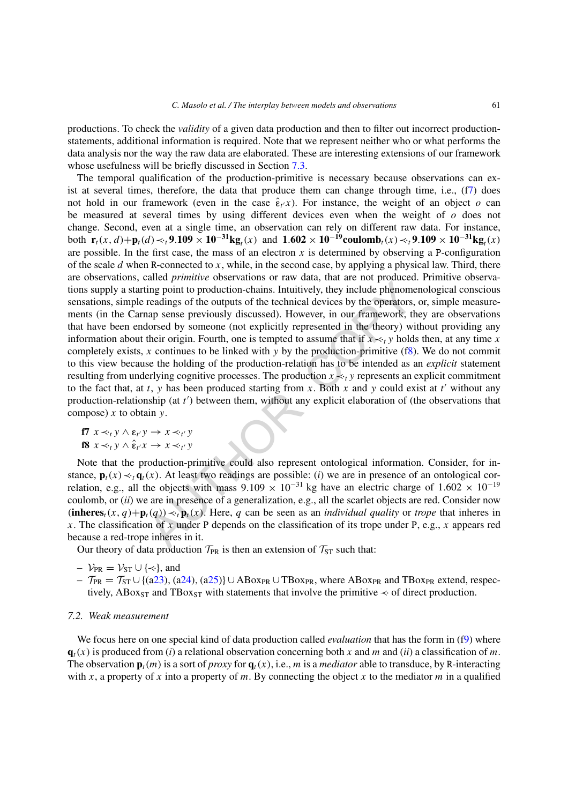productions. To check the *validity* of a given data production and then to filter out incorrect productionstatements, additional information is required. Note that we represent neither who or what performs the data analysis nor the way the raw data are elaborated. These are interesting extensions of our framework whose usefulness will be briefly discussed in Section [7.3](#page-22-0).

ing point to production-chains. Intuitively, they include phenomendings of the outputs of the technical devices by the operators,<br>and sense previously discussed). However, in our framework, thorsed by someone (not explici The temporal qualification of the production-primitive is necessary because observations can exist at several times, therefore, the data that produce them can change through time, i.e., ([f7](#page-20-1)) does not hold in our framework (even in the case  $\hat{\epsilon}_{t'}(x)$ ). For instance, the weight of an object  $\sigma$  can be measured at several times by using different devices even when the weight of  $\sigma$  does not change. Second, even at a single time, an observation can rely on different raw data. For instance, both  $\mathbf{r}_t(x, d) + \mathbf{p}_t(d) \prec_t 9.109 \times 10^{-31} \text{kg}_t(x)$  and  $1.602 \times 10^{-19}$ coulomb $_t(x) \prec_t 9.109 \times 10^{-31} \text{kg}_t(x)$ are possible. In the first case, the mass of an electron  $x$  is determined by observing a P-configuration of the scale d when R-connected to x, while, in the second case, by applying a physical law. Third, there are observations, called *primitive* observations or raw data, that are not produced. Primitive observations supply a starting point to production-chains. Intuitively, they include phenomenological conscious sensations, simple readings of the outputs of the technical devices by the operators, or, simple measurements (in the Carnap sense previously discussed). However, in our framework, they are observations that have been endorsed by someone (not explicitly represented in the theory) without providing any information about their origin. Fourth, one is tempted to assume that if  $x \prec_t y$  holds then, at any time x completely exists, x continues to be linked with y by the production-primitive  $(f8)$ . We do not commit to this vie w because the holding of the production-relation has to be intended a s a n *explicit* statement resulting from underlying cognitive processes. The production  $x \prec_t y$  represents an explicit commitment to the fact that, at  $t$ ,  $y$  has been produced starting from  $x$ . Both  $x$  and  $y$  could exist at  $t'$  without any production-relationship (at t') between them, without any explicit elaboration of (the observations that compose) *x* to obtain *y* .

<span id="page-20-2"></span><span id="page-20-1"></span>**f7** 
$$
x \prec_t y \land \varepsilon_{t'} y \rightarrow x \prec_{t'} y
$$
  
\n**f8**  $x \prec_t y \land \hat{\varepsilon}_{t'} x \rightarrow x \prec_{t'} y$ 

Note that the production-primitive could also represent ontological information. Consider, for instance,  $\mathbf{p}_t(x) \prec_t \mathbf{q}_t(x)$ . At least two readings are possible: (*i*) we are in presence of an ontological correlation, e.g., all the objects with mass  $9.109 \times 10^{-31}$  kg have an electric charge of  $1.602 \times 10^{-19}$ coulomb, or *(ii)* we are in presence of a generalization, e.g., all the scarlet objects are red. Consider now (inheres<sub>t</sub> $(x, q) + p_t(q) \leq t p_t(x)$ ). Here, q can be seen as an *individual quality* or *trope* that inheres in x. The classification of x under P depends on the classification of its trope under P, e.g., x appears red because a red-trope inheres i n it.

Our theory of data production  $\mathcal{T}_{PR}$  is then an extension of  $\mathcal{T}_{ST}$  such that:

$$
- \nu_{PR} = \nu_{ST} \cup \{\prec\}, \text{ and}
$$

 $-\mathcal{T}_{PR} = \mathcal{T}_{ST} \cup \{(a23), (a24), (a25)\} \cup \text{ABox}_{PR} \cup \text{TBox}_{PR}$  $-\mathcal{T}_{PR} = \mathcal{T}_{ST} \cup \{(a23), (a24), (a25)\} \cup \text{ABox}_{PR} \cup \text{TBox}_{PR}$  $-\mathcal{T}_{PR} = \mathcal{T}_{ST} \cup \{(a23), (a24), (a25)\} \cup \text{ABox}_{PR} \cup \text{TBox}_{PR}$  $-\mathcal{T}_{PR} = \mathcal{T}_{ST} \cup \{(a23), (a24), (a25)\} \cup \text{ABox}_{PR} \cup \text{TBox}_{PR}$  $-\mathcal{T}_{PR} = \mathcal{T}_{ST} \cup \{(a23), (a24), (a25)\} \cup \text{ABox}_{PR} \cup \text{TBox}_{PR}$  $-\mathcal{T}_{PR} = \mathcal{T}_{ST} \cup \{(a23), (a24), (a25)\} \cup \text{ABox}_{PR} \cup \text{TBox}_{PR}$  $-\mathcal{T}_{PR} = \mathcal{T}_{ST} \cup \{(a23), (a24), (a25)\} \cup \text{ABox}_{PR} \cup \text{TBox}_{PR}$ , where  $\text{ABox}_{PR}$  and  $\text{TBox}_{PR}$  extend, respectively, ABox<sub>ST</sub> and TBox<sub>ST</sub> with statements that involve the primitive  $\prec$  of direct production.

## <span id="page-20-0"></span>*7.2. Weak measurement*

We focus here on one special kind of data production called *evaluation* that has the form in ([f9\)](#page-21-0) where  $\mathbf{q}_t(x)$  is produced from (*i*) a relational observation concerning both x and m and (*ii*) a classification of m. The observation  $\mathbf{p}_t(m)$  is a sort of *proxy* for  $\mathbf{q}_t(x)$ , i.e., *m* is a *mediator* able to transduce, by R-interacting with x, a property of x into a property of m. By connecting the object x to the mediator m in a qualified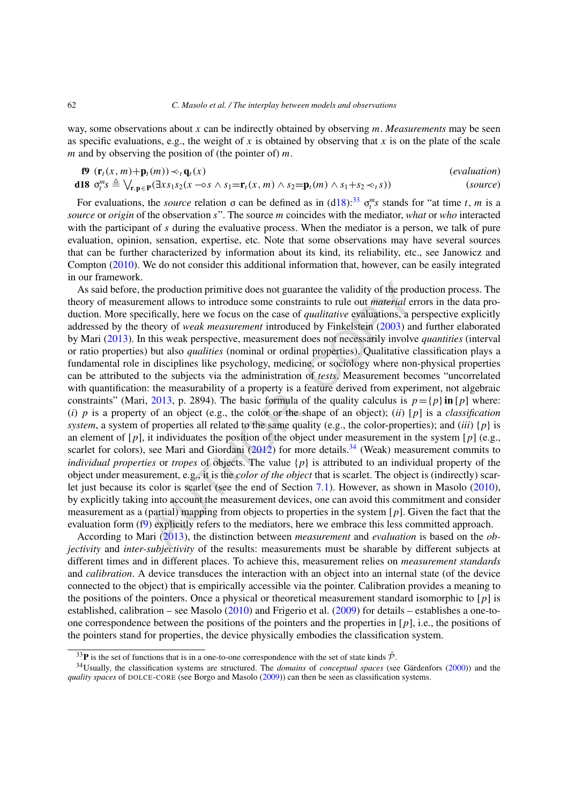way, some observations about x can be indirectly obtained by observing m. Measurements may be seen as specific evaluations, e.g., the weight of  $x$  is obtained by observing that  $x$  is on the plate of the scale *m* and by observing the position of (the pointer of) *m*.

<span id="page-21-1"></span><span id="page-21-0"></span>**f9** 
$$
(\mathbf{r}_t(x, m) + \mathbf{p}_t(m)) \prec_t \mathbf{q}_t(x)
$$
   
\n**d18**  $\sigma_t^m s \triangleq \bigvee_{\mathbf{r}, \mathbf{p} \in \mathbf{P}} (\exists x s_1 s_2(x - \sigma s \land s_1 = \mathbf{r}_t(x, m) \land s_2 = \mathbf{p}_t(m) \land s_1 + s_2 \prec_t s))$  *(evaluation)*   
\n*(source)*

For evaluations, the *source* relation  $\sigma$  can be defined as in ([d18\)](#page-21-1):<sup>33</sup>  $\sigma_t^m s$  stands for "at time t, m is a source or *origin* of the observation s". The source m coincides with the mediator, what or who interacted with the participant of *s* during the evaluative process. When the mediator is a person, we talk of pure evaluation, opinion, sensation, expertise, etc. Note that some observations may have several sources that can be further characterized by information about its kind, its reliability , etc., see Jano wicz and Compton [\(2010](#page-29-2)). We do not consider this additional information that, however, can be easily integrated in our framework.

the production primitive does not guarantee the validity of the pro-<br>ment allows to introduce some constraints to rule out *material* erifically, here we focus on the case of *qualitative* evaluations, a p<br>heory of *weak* As said before, the production primitive does not guarantee the validity of the production process. The theory of measurement allows to introduce some constraints to rule out *material* errors in the data production. More specifically, here we focus on the case of *qualitative* evaluations, a perspective explicitly addressed b y the theory of *weak measurement* introduced by Finkelstein (2003 ) and further elaborated by Mari [\(2013](#page-29-29)). In this weak perspective, measurement does not necessarily involve *quantities* (interval or ratio properties) but also *qualities* (nominal or ordinal properties). Qualitative classification plays a fundamental role in disciplines lik e psychology , medicine, or sociology where non-physical properties can be attributed to the subjects via the administration o f *tests* . Measurement becomes "uncorrelated with quantification: the measurability of a property is a feature derived from experiment, not algebraic constraints" (Mari, 2013, p. 2894). The basic formula of the quality calculus is  $p = {p}$  in [p] where: (*i*)  $p$  is a property of an object (e.g., the color or the shape of an object); (*ii*) [ $p$ ] is a *classification* system, a system of properties all related to the same quality (e.g., the color-properties); and (*iii*)  $\{p\}$  is an element of  $[p]$ , it individuates the position of the object under measurement in the system  $[p]$  (e.g., scarlet for colors), see Mari and Giordani (2012) for more details.<sup>34</sup> (Weak) measurement commits to *individual properties* or *tropes* of objects. The value  $\{p\}$  is attributed to an individual property of the object under measurement, e.g., it is the *color of the object* that is scarlet. The object is (indirectly) scar-let just because its color is scarlet (see the end of Section 7.1). However, as shown in Masolo [\(2010](#page-29-31)), by explicitly taking into account the measurement devices, one can avoid this commitment and consider measurement as a (partial) mapping from objects to properties in the system  $[p]$ . Given the fact that the evaluation form ([f9](#page-21-0)) explicitly refers to the mediators, here we embrace this less committed approach.

According to Mari (2013), the distinction between *measurement* and *evaluation* is based on the *objectivity* and *inter-subjectivity* of the results: measurements must be sharable by different subjects at different times and in different places. To achieve this, measurement relies on *measurement standards* and *calibration*. A device transduces the interaction with an object into an internal state (of the device connected to the object) that is empirically accessible via the pointer. Calibration provides a meaning to the positions of the pointers. Once a physical or theoretical measurement standard isomorphic to  $[p]$  is established, calibration – see Masolo [\(2010](#page-29-31)) and Frigerio et al. [\(2009](#page-28-24)) for details – establishes a one-toone correspondence between the positions of the pointers and the properties in [*p*], i.e., the positions of the pointers stand for properties, the device physically embodies the classification system.

<span id="page-21-3"></span><span id="page-21-2"></span><sup>&</sup>lt;sup>33</sup>P is the set of functions that is in a one-to-one correspondence with the set of state kinds  $\bar{\mathcal{P}}$ .

<sup>34</sup>Usually, the classification systems are structured. The *domains* of *conceptual spaces* (see Gärdenfors [\(2000\)](#page-28-10)) and the quality spaces of DOLCE-CORE (see Borgo and Masolo [\(2009\)](#page-28-25)) can then be seen as classification systems.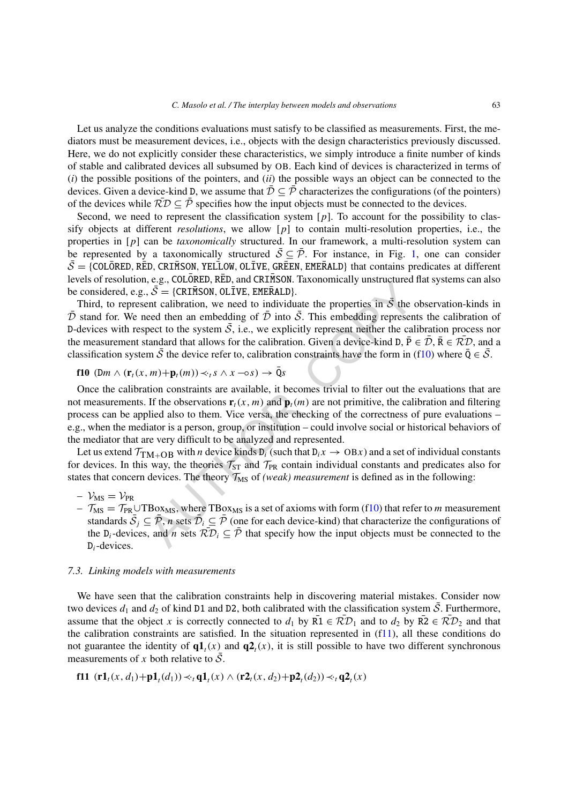Let us analyze the conditions evaluations must satisfy to be classified as measurements. First, the mediators must be measurement devices, i.e., objects with the design characteristics previously discussed. Here, we do not explicitly consider these characteristics, we simply introduce a finite number of kinds of stable and calibrated devices all subsumed by OB. Each kind of devices is characterized in terms of ( *i* ) the possible positions of the pointers, and (*ii* ) the possible ways a n object can be connected to the devices. Given a device-kind D, we assume that  $\overline{\mathcal{D}} \subseteq \overline{\mathcal{P}}$  characterizes the configurations (of the pointers) of the devices while  $\overline{R}\mathcal{D} \subseteq \overline{\mathcal{P}}$  specifies how the input objects must be connected to the devices.

Second, we need to represent the classification system  $[p]$ . To account for the possibility to classify objects at different *resolutions*, we allow [*p*] to contain multi-resolution properties, i.e., the properties in [p] can be *taxonomically* structured. In our framework, a multi-resolution system can be represented by a taxonomically structured  $\bar{S} \subseteq \bar{\mathcal{P}}$ . For instance, in Fig. [1](#page-7-4), one can consider  $\bar{S} = \{COL\bar{ORED}, \overline{RED}, \overline{CRI}N\}$ SON, YELLOW, OLIVE, GREEN, EMERALD} that contains predicates at different levels of resolution, e.g., COLORED, RED, and CRIMSON. Taxonomically unstructured flat systems can also be considered, e.g.,  $\overline{S} = \{CRI\overline{M}SON, OL\overline{I}VE, EME\overline{R}ALD\}.$ 

,  $\vec{v}$ ,  $\vec{v}$ ,  $\vec{v}$ ,  $\vec{v}$ ,  $\vec{v}$ ,  $\vec{v}$ ,  $\vec{v}$ ,  $\vec{v}$ ,  $\vec{S}$  = (CRTMSON, OL TVE, EMERALD).<br>
AT calibration, we need to individuate the properties in  $\vec{S}$  the eed then an embedding of  $\vec{D}$  into Third, to represent calibration, we need to individuate the properties in  $\overline{S}$  the observation-kinds in  $\bar{\mathcal{D}}$  stand for. We need then an embedding of  $\bar{\mathcal{D}}$  into  $\bar{\mathcal{S}}$ . This embedding represents the calibration of D-devices with respect to the system  $\overline{S}$ , i.e., we explicitly represent neither the calibration process nor the measurement standard that allows for the calibration. Given a device-kind D,  $\bar{P} \in \bar{\mathcal{D}}$ ,  $\bar{R} \in \bar{\mathcal{RD}}$ , and a classification system  $\bar{S}$  the device refer to, calibration constraints have the form in ([f10\)](#page-22-1) where  $\bar{Q} \in \bar{S}$ .

<span id="page-22-1"></span>**f10**  $(\text{D}m \wedge (\mathbf{r}_t(x, m) + \mathbf{p}_t(m)) \prec_t s \wedge x - \circ s) \rightarrow \overline{\mathbf{Q}}s$ 

Once the calibration constraints are available, it becomes trivial to filter out the evaluations that are not measurements. If the observations  $\mathbf{r}_t(x, m)$  and  $\mathbf{p}_t(m)$  are not primitive, the calibration and filtering process can be applied also to them. Vice versa, the checking of the correctness of pure evaluations – e.g., when the mediator is a person, group, or institution – could i nvolv e social or historical behaviors o f the mediator that are v ery difficult to be analyzed and represented.

Let us extend  $\mathcal{T}_{TM+OB}$  with *n* device kinds  $D_i$  (such that  $D_i x \to OBx$ ) and a set of individual constants for devices. In this way, the theories  $\mathcal{T}_{ST}$  and  $\mathcal{T}_{PR}$  contain individual constants and predicates also for states that concern devices. The theory  $\mathcal{T}_{MS}$  of *(weak) measurement* is defined as in the following:

- $-\mathcal{V}_{MS} = \mathcal{V}_{PR}$
- $-\mathcal{T}_{\text{MS}} = \mathcal{T}_{\text{PR}} \cup \text{TBox}_{\text{MS}}$ , where TBox<sub>MS</sub> is a set of axioms with form (f10) that refer to *m* measurement standards  $\bar{S}_j \subseteq \bar{P}$ , *n* sets  $\bar{D}_i \subseteq \bar{P}$  (one for each device-kind) that characterize the configurations of the D<sub>i</sub>-devices, and *n* sets  $\overline{\mathcal{RD}}_i \subseteq \overline{\mathcal{P}}$  that specify how the input objects must be connected to the D *<sup>i</sup>*-de vices.

## <span id="page-22-0"></span>*7.3. Linking models with measurements*

We have seen that the calibration constraints help in discovering material mistakes. Consider now two devices  $d_1$  and  $d_2$  of kind D1 and D2, both calibrated with the classification system  $\overline{S}$ . Furthermore, assume that the object *x* is correctly connected to  $d_1$  by  $\overline{R1} \in \overline{R2D_1}$  and to  $d_2$  by  $\overline{R2} \in \overline{R2D_2}$  and that the calibration constraints are satisfied. In the situation represented in  $(f11)$  $(f11)$ , all these conditions do not guarantee the identity of  $q1_t(x)$  and  $q2_t(x)$ , it is still possible to have two different synchronous measurements of x both relative to  $\overline{S}$ .

<span id="page-22-2"></span>
$$
\mathbf{f11} \; \left( \mathbf{r1}_t(x, d_1) + \mathbf{p1}_t(d_1) \right) \prec_t \mathbf{q1}_t(x) \wedge \left( \mathbf{r2}_t(x, d_2) + \mathbf{p2}_t(d_2) \right) \prec_t \mathbf{q2}_t(x)
$$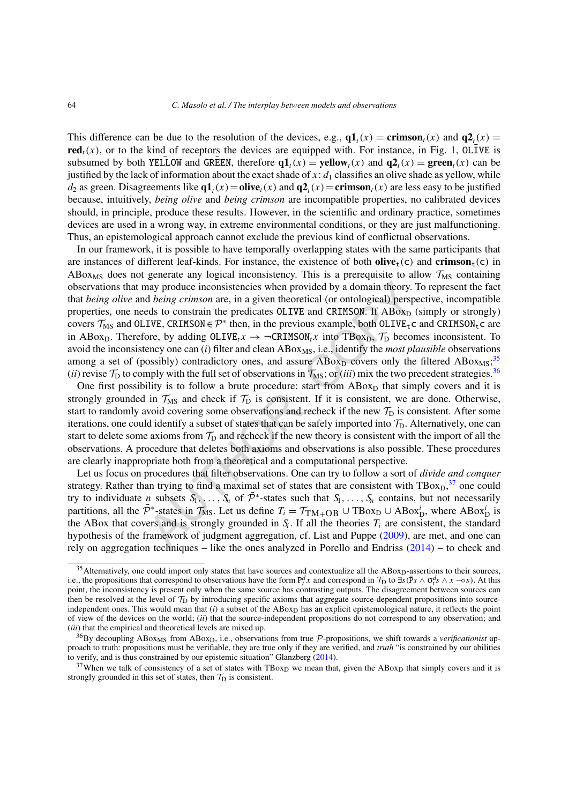This difference can be due to the resolution of the devices, e.g.,  $q1_t(x) = \text{crimson}_t(x)$  and  $q2_t(x) =$ **red**<sub> $t$ </sub>(x), or to the kind of receptors the devices are equipped with. For instance, in Fig. [1](#page-7-4), OLIVE is subsumed by both YELLOW and GREEN, therefore  $q1_t(x) = \text{yellow}_t(x)$  and  $q2_t(x) = \text{green}_t(x)$  can be justified by the lack of information about the exact shade of  $x$ :  $d_1$  classifies an olive shade as yellow, while  $d_2$  as green. Disagreements like  $q1_t(x) =$ **olive**<sub>t</sub> $(x)$  and  $q2_t(x) =$ **crimson**<sub>t</sub> $(x)$  are less easy to be justified because, intuitively, *being olive* and *being crimson* are incompatible properties, no calibrated devices should, in principle, produce these results. However, in the scientific and ordinary practice, sometimes devices are used in a wrong way, in extreme environmental conditions, or they are just malfunctioning. Thus, a n epistemological approach cannot e xclude the previous kind of conflictual observ ations.

may produce inconsistencies when provided by a domain theory.<br>
d being crimson are, in a given theoretical (or ontological) perspeds to constrain the predicates OLIVE and CRIMSON. If ABox<sub>D</sub> IVE, CRIMSON  $\in P^*$  then, in In our framework, it is possible to have temporally overlapping states with the same participants that are instances of different leaf-kinds. For instance, the existence of both **olive**<sub>t</sub>(c) and **crimson**<sub>t</sub>(c) in  $ABox<sub>MS</sub>$  does not generate any logical inconsistency. This is a prerequisite to allow  $\mathcal{T}_{MS}$  containing observ ations that may produce inconsistencies when provided b y a domain theory . To represent the fact that *being olive* and *being crimson* are, in a given theoretical (or ontological) perspective, incompatible properties, one needs to constrain the predicates OLIVE and CRIMSON. If ABox<sub>D</sub> (simply or strongly) covers  $\mathcal{T}_{MS}$  and OLIVE, CRIMSON  $\in \mathcal{P}^*$  then, in the previous example, both OLIVE<sub>t</sub> c and CRIMSON<sub>t</sub> c are in ABox<sub>D</sub>. Therefore, by adding  $OLIVE_t x \rightarrow \neg CRIMSON_t x$  into TBox<sub>D</sub>,  $\mathcal{T}_D$  becomes inconsistent. To avoid the inconsistency one can (*i*) filter and clean ABox<sub>MS</sub>, i.e., identify the *most plausible* observations among a set of (possibly) contradictory ones, and assure ABox<sub>D</sub> covers only the filtered ABox<sub>MS</sub><sup>[35](#page-23-0)</sup> (*ii*) revise  $\mathcal{T}_D$  to comply with the full set of observations in  $\mathcal{T}_{MS}$ ; or (*iii*) mix the two precedent strategies.<sup>[36](#page-23-1)</sup>

One first possibility is to follow a brute procedure: start from ABox<sub>D</sub> that simply covers and it is strongly grounded in  $\mathcal{T}_{MS}$  and check if  $\mathcal{T}_{D}$  is consistent. If it is consistent, we are done. Otherwise, start to randomly avoid covering some observations and recheck if the new  $\mathcal{T}_D$  is consistent. After some iterations, one could identify a subset of states that can be safely imported into  $\mathcal{T}_D$ . Alternatively, one can start to delete some axioms from  $T_D$  and recheck if the new theory is consistent with the import of all the observ ations. A procedure that deletes both axioms and observ ations is also possible. These procedures are clearly inappropriate both from a theoretical and a computational perspecti ve.

Let us focus on procedures that filter observations. One can try to follow a sort of *divide and conquer* strategy. Rather than trying to find a maximal set of states that are consistent with TBox<sub>D</sub>,<sup>[37](#page-23-2)</sup> one could try to individuate *n* subsets  $S_1, \ldots, S_n$  of  $\bar{\mathcal{P}}^*$ -states such that  $S_1, \ldots, S_n$  contains, but not necessarily partitions, all the  $\bar{\mathcal{P}}^*$ -states in  $\mathcal{T}_{MS}$ . Let us define  $T_i = \mathcal{T}_{TM+OB} \cup TBox_D \cup ABox_D^i$ , where  $ABox_D^i$  is the ABox that covers and is strongly grounded in  $S_i$ . If all the theories  $T_i$  are consistent, the standard hypothesis of the framework of judgment aggregation, cf. List and Puppe (2009), are met, and one can rely on aggregation techniques – like the ones analyzed in Porello and Endriss [\(2014](#page-29-32)) – to check and

<span id="page-23-0"></span><sup>&</sup>lt;sup>35</sup> Alternatively, one could import only states that have sources and contextualize all the ABox<sub>D</sub>-assertions to their sources, i.e., the propositions that correspond to observations have the form  $P_t^d x$  and correspond in  $\mathcal{T}_D$  to  $\exists s (\bar{P}_s \land \sigma_t^d s \land x \to s)$ . At this point, the inconsistency is present only when the same source has contrasting outputs. The disagreement between sources can then be resolved at the level of  $\mathcal{T}_D$  by introducing specific axioms that aggregate source-dependent propositions into sourceindependent ones. This would mean that (*i*) a subset of the ABox<sub>D</sub> has an explicit epistemological nature, it reflects the point of view of the devices on the world; (ii) that the source-independent propositions do not correspond to any observation; and (*iii*) that the empirical and theoretical levels are mixed up.

<span id="page-23-1"></span> $^{36}$ By decoupling ABox<sub>MS</sub> from ABox<sub>D</sub>, i.e., observations from true  $P$ -propositions, we shift towards a *verificationist* approach to truth: propositions must be verifiable, they are true only if they are verified, and *truth* "is constrained by our abilities to verify, and is thus constrained by our epistemic situation" Glanzberg [\(2014\)](#page-28-26).

<span id="page-23-2"></span><sup>&</sup>lt;sup>37</sup>When we talk of consistency of a set of states with TBox<sub>D</sub> we mean that, given the ABox<sub>D</sub> that simply covers and it is strongly grounded in this set of states, then  $T_D$  is consistent.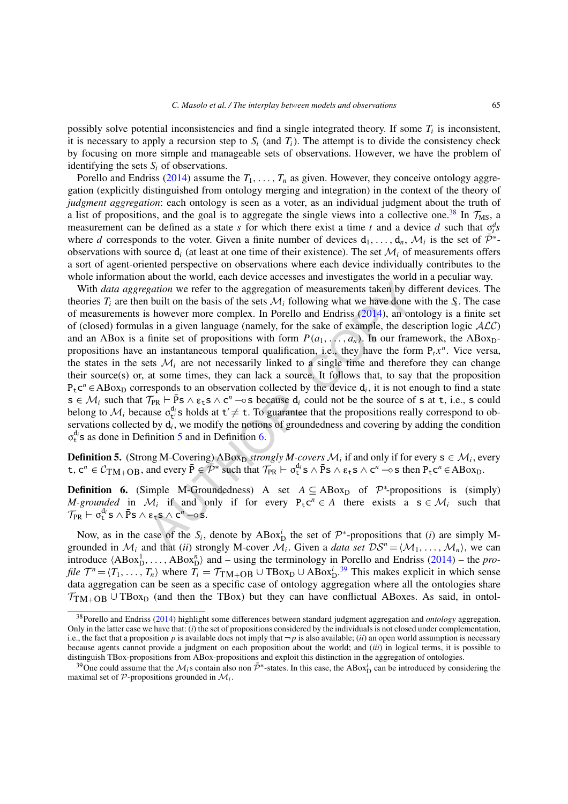possibly solve potential inconsistencies and find a single integrated theory. If some  $T_i$  is inconsistent, it is necessary to apply a recursion step to  $S_i$  (and  $T_i$ ). The attempt is to divide the consistency check by focusing on more simple and manageable sets of observations. However, we have the problem of identifying the sets  $S_i$  of observations.

Porello and Endriss [\(2014](#page-29-32)) assume the  $T_1, \ldots, T_n$  as given. However, they conceive ontology aggregation (explicitly distinguished from ontology merging and integration) in the context of the theory of judgment aggregation: each ontology is seen as a voter, as an individual judgment about the truth of a list of propositions, and the goal is to aggregate the single views into a collective one.<sup>[38](#page-24-0)</sup> In  $\mathcal{T}_{MS}$ , a measurement can be defined as a state *s* for which there exist a time *t* and a device *d* such that  $\sigma$ *t*<sup>*d*</sup><sub>*s*</sub> where *d* corresponds to the voter. Given a finite number of devices  $d_1, \ldots, d_n$ ,  $\mathcal{M}_i$  is the set of  $\overline{\mathcal{P}}^*$ observations with source  $d_i$  (at least at one time of their existence). The set  $\mathcal{M}_i$  of measurements offers a sort of agent-oriented perspective on observations where each device individually contributes to the whole information about the world, each device accesses and investigates the world in a peculiar way.

gation we refer to the aggregation of measurements taken by di<br>pation we refer to the aggregation of measurements taken by di<br>built on the basis of the sets  $M_i$  following what we have done<br>s however more complex. In Pore With *data aggregation* we refer to the aggregation of measurements taken by different devices. The theories  $T_i$  are then built on the basis of the sets  $\mathcal{M}_i$  following what we have done with the  $S_i$ . The case of measurements is however more complex. In Porello and Endriss (2014), an ontology is a finite set of (closed) formulas in a given language (namely, for the sake of example, the description logic  $\mathcal{ALC}$ ) and an ABox is a finite set of propositions with form  $P(a_1, \ldots, a_n)$ . In our framework, the ABox<sub>D</sub>propositions have an instantaneous temporal qualification, i.e., they have the form  $P_t x^n$ . Vice versa, the states in the sets  $\mathcal{M}_i$  are not necessarily linked to a single time and therefore they can change their source(s) or, at some times, they can lack a source. It follows that, to say that the proposition  $P_t c^n \in ABo x_D$  corresponds to an observation collected by the device  $d_i$ , it is not enough to find a state  $s \in \mathcal{M}_i$  such that  $\mathcal{T}_{PR} \vdash \bar{P}s \wedge \varepsilon_t s \wedge c^n \multimap s$  because  $d_i$  could not be the source of s at t, i.e., s could belong to  $\mathcal{M}_i$  because  $\sigma_{t'}^{d_i}$ s holds at  $t' \neq t$ . To guarantee that the propositions really correspond to observations collected by  $\mathbf{d}_i$ , we modify the notions of groundedness and covering by adding the condition  $\mathbf{d}_i^{\mathbf{d}_i}$ 's as done in Definition 5 and in Definition 6.

<span id="page-24-1"></span>**Definition 5.** (Strong M-Covering) ABox<sub>D</sub> *strongly M-covers*  $\mathcal{M}_i$  if and only if for every  $s \in \mathcal{M}_i$ , every **t**,  $c^n$  ∈  $C_{TM+OB}$ , and every  $\bar{P}$  ∈  $\bar{P}^*$  such that  $\mathcal{T}_{PR}$  ⊢  $\sigma_t^{d_i}$  s ∧  $\bar{P}$  s ∧  $\epsilon_t$  s ∧  $c^n$  −◦ s then  $P_t c^n$  ∈ ABox<sub>D</sub>.

<span id="page-24-2"></span>**Definition 6.** (Simple M-Groundedness) A set  $A \subseteq ABox_D$  of  $\mathcal{P}^*$ -propositions is (simply) *M*-grounded in  $\mathcal{M}_i$  if and only if for every  $P_t c^n \in A$  there exists a  $s \in \mathcal{M}_i$  such that  $\mathcal{T}_{PR} \vdash \sigma_t^{d_i} s \wedge \bar{P} s \wedge \varepsilon_t s \wedge c^n \neg \circ s.$ 

Now, as in the case of the  $S_i$ , denote by  $ABox_D^i$  the set of  $\mathcal{P}^*$ -propositions that (*i*) are simply Mgrounded in  $\mathcal{M}_i$  and that (*ii*) strongly M-cover  $\mathcal{M}_i$ . Given a *data set*  $DS^n = \langle \mathcal{M}_1, \ldots, \mathcal{M}_n \rangle$ , we can introduce  $\langle ABox_D^1, \ldots, ABox_D^n \rangle$  and  $-$  using the terminology in Porello and Endriss [\(2014](#page-29-32))  $-$  the *profile*  $T^n = \langle T_1, \ldots, T_n \rangle$  where  $\overline{T}_i = \mathcal{T}_{TM+OB} \cup TBox_D \cup ABox_D^i$ .<sup>[39](#page-24-3)</sup> This makes explicit in which sense data aggregation can be seen as a specific case of ontology aggregation where all the ontologies share  $T_{\rm TM+OB}$   $\cup$  TBox<sub>D</sub> (and then the TBox) but they can have conflictual ABoxes. As said, in ontol-

<span id="page-24-0"></span><sup>38</sup>Porello and Endriss [\(2014](#page-29-32)) highlight some differences between standard judgment aggregation and *ontology* aggregation. Only in the latter case we have that: (i) the set of propositions considered by the individuals is not closed under complementation, i.e., the fact that a proposition p is available does not imply that  $\neg p$  is also available; *(ii*) an open world assumption is necessary because agents cannot provide a judgment on each proposition about the world; and *(iii)* in logical terms, it is possible to distinguish TBox-propositions from ABox-propositions and exploit this distinction in the aggregation of ontologies.

<span id="page-24-3"></span><sup>&</sup>lt;sup>39</sup>One could assume that the  $M_i$ s contain also non  $\bar{\mathcal{P}}^*$ -states. In this case, the ABox<sup>*i*</sup><sub>D</sub> can be introduced by considering the maximal set of  $P$ -propositions grounded in  $\mathcal{M}_i$ .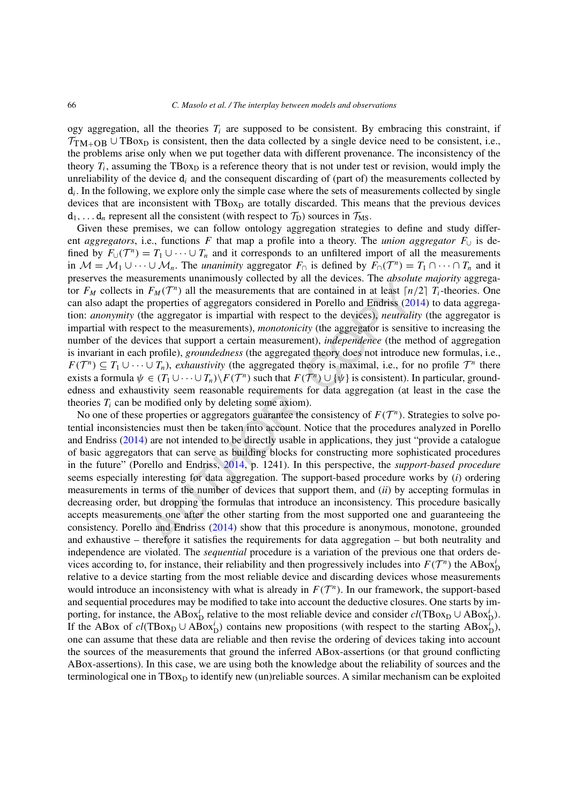ogy aggregation, all the theories  $T_i$  are supposed to be consistent. By embracing this constraint, if  $\tau_{\text{TM+OB}} \cup \text{TBox}_{\text{D}}$  is consistent, then the data collected by a single device need to be consistent, i.e., the problems arise only when we put together data with different provenance. The inconsistency of the theory  $T_i$ , assuming the  $TBox_D$  is a reference theory that is not under test or revision, would imply the unreliability of the device  $d_i$  and the consequent discarding of (part of) the measurements collected by  $d_i$ . In the following, we explore only the simple case where the sets of measurements collected by single devices that are inconsistent with TBox<sub>D</sub> are totally discarded. This means that the previous devices  $d_1, \ldots, d_n$  represent all the consistent (with respect to  $\mathcal{T}_D$ ) sources in  $\mathcal{T}_{MS}$ .

Given these premises, we can follow ontology aggregation strategies to define and study different *aggregators*, i.e., functions F that map a profile into a theory. The *union* aggregator  $F_{\cup}$  is defined by  $F_U(T^n) = T_1 \cup \cdots \cup T_n$  and it corresponds to an unfiltered import of all the measurements in  $M = M_1 \cup \cdots \cup M_n$ . The *unanimity* aggregator  $F_{\cap}$  is defined by  $F_{\cap}(\mathcal{T}^n) = T_1 \cap \cdots \cap T_n$  and it preserves the measurements unanimously collected by all the devices. The *absolute majority* aggregator  $F_M$  collects in  $F_M(\mathcal{T}^n)$  all the measurements that are contained in at least  $\lceil n/2 \rceil$  *T<sub>i</sub>*-theories. One can also adapt the properties of aggregators considered in Porello and Endriss [\(2014](#page-29-32)) to data aggregation: *anonymity* (the aggregator is impartial with respect to the devices), *neutrality* (the aggregator is impartial with respect to the measurements), *monotonicity* (the aggregator is sensitive to increasing the number of the devices that support a certain measurement), *independence* (the method of aggregation is invariant in each profile), *groundedness* (the aggregated theory does not introduce new formulas, i.e.,  $F(T^n) \subseteq T_1 \cup \cdots \cup T_n$ , exhaustivity (the aggregated theory is maximal, i.e., for no profile  $T^n$  there exists a formula  $\psi \in (T_1 \cup \cdots \cup T_n) \setminus F(T^n)$  such that  $F(T^n) \cup \{\psi\}$  is consistent). In particular, groundedness and exhaustivity seem reasonable requirements for data aggregation (at least in the case the theories  $T_i$  can be modified only by deleting some axiom).

EMONDED and measurements that are content of  $F_M(T^n)$  all the measurements that are contained in at least  $[n]$  properties of aggregators considered in Porello and Endriss (20<br>ne aggregator is impartial with respect to the No one of these properties or aggregators guarantee the consistency of  $F(T^n)$ . Strategies to solve potential inconsistencies must then be taken into account. Notice that the procedures analyzed in Porello and Endriss [\(2014](#page-29-32)) are not intended to be directly usable in applications, they just "provide a catalogue of basic aggre gators that can serv e a s building blocks for constructing more sophisticated procedures in the future" (Porello and Endriss, 2014 , p . 1241). I n this perspecti ve, the *support-based procedure* seems especially interesting for data aggregation. The support-based procedure works by (*i*) ordering measurements in terms of the number of devices that support them, and (*ii*) by accepting formulas in decreasing order, but dropping the formulas that introduce an inconsistency. This procedure basically accepts measurements one after the other starting from the most supported one and guaranteeing the consistency. Porello and Endriss (2014) show that this procedure is anonymous, monotone, grounded and exhaustive – therefore it satisfies the requirements for data aggregation – but both neutrality and independence are violated. The *sequential* procedure is a variation of the previous one that orders devices according to, for instance, their reliability and then progressively includes into  $F(T^n)$  the ABox<sup>*i*</sup> relative to a device starting from the most reliable device and discarding devices whose measurements would introduce an inconsistency with what is already in  $F(\mathcal{T}^n)$ . In our framework, the support-based and sequential procedures may be modified to take into account the deductive closures. One starts by importing, for instance, the ABox<sup>*i*</sup><sub>D</sub> relative to the most reliable device and consider  $cl(TBox_D \cup ABox_D^i)$ . If the ABox of  $cl(TBox_D \cup ABox_D^i)$  contains new propositions (with respect to the starting  $ABox_D^i$ ), one can assume that these data are reliable and then revise the ordering o f d e vices taking into account the sources of the measurements that ground the inferred ABox-assertions (or that ground conflicting ABox-assertions). In this case, we are using both the knowledge about the reliability of sources and the terminological one in TBox<sub>D</sub> to identify new (un)reliable sources. A similar mechanism can be exploited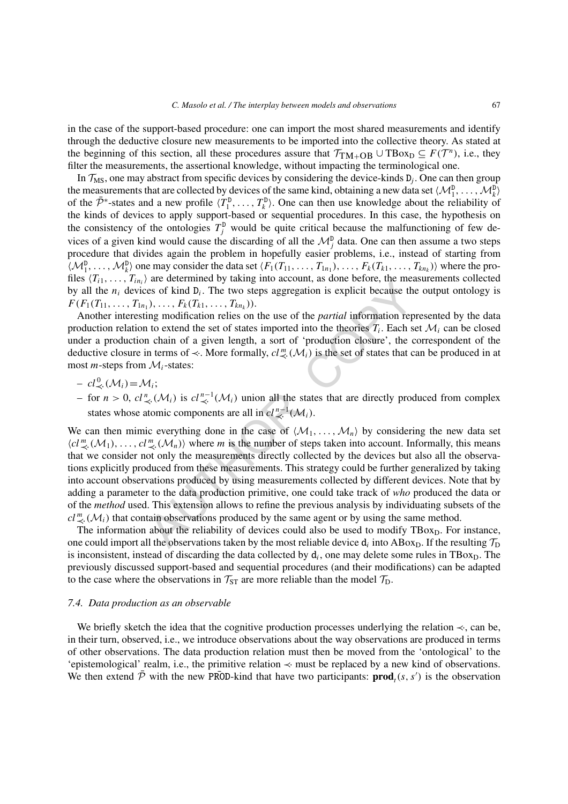in the case of the support-based procedure: one can import the most shared measurements and identify through the deductive closure new measurements to be imported into the collective theory. As stated at the beginning of this section, all these procedures assure that  $\mathcal{T}_{TM+OB} \cup TBox_D \subseteq F(\mathcal{T}^n)$ , i.e., they filter the measurements, the assertional knowledge, without impacting the terminological one.

In  $\mathcal{T}_{MS}$ , one may abstract from specific devices by considering the device-kinds  $D_j$ . One can then group the measurements that are collected by devices of the same kind, obtaining a new data set  $\langle \mathcal{M}_1^D, \ldots, \mathcal{M}_k^D \rangle$ of the  $\bar{\mathcal{P}}^*$ -states and a new profile  $\langle T_1^D, \ldots, T_k^D \rangle$ . One can then use knowledge about the reliability of the kinds of devices to apply support-based o r sequential procedures. I n this case, the hypothesis o n the consistency of the ontologies  $T_j^D$  would be quite critical because the malfunctioning of few devices of a given kind would cause the discarding of all the  $\mathcal{M}^D_j$  data. One can then assume a two steps procedure that divides again the problem in hopefully easier problems, i.e., instead of starting from  $\langle \mathcal{M}_1^D, \ldots, \mathcal{M}_k^D \rangle$  one may consider the data set  $\langle F_1(T_{11}, \ldots, T_{1n_1}), \ldots, F_k(T_{k1}, \ldots, T_{kn_k}) \rangle$  where the profiles  $\langle T_{i1}, \ldots, T_{in_i} \rangle$  are determined by taking into account, as done before, the measurements collected by all the  $n_i$  devices of kind  $D_i$ . The two steps aggregation is explicit because the output ontology is  $F(F_1(T_{11},\ldots,T_{1n_1}),\ldots,F_k(T_{k1},\ldots,T_{kn_k})).$ 

Another interesting modification relies on the use of the *partial* information represented by the data production relation to extend the set of states imported into the theories  $T_i$ . Each set  $\mathcal{M}_i$  can be closed under a production chain of a given length, a sort of 'production closure', the correspondent of the deductive closure in terms of  $\prec$ . More formally,  $cl^m_{\prec}(\mathcal{M}_i)$  is the set of states that can be produced in at most *m*-steps from  $\mathcal{M}_i$ -states:

- $cl^0_{\prec}(\mathcal{M}_i) = \mathcal{M}_i;$
- − for *n* > 0,  $cl_{\prec}^n$  ( $\mathcal{M}_i$ ) is  $cl_{\prec}^{n-1}$  ( $\mathcal{M}_i$ ) union all the states that are directly produced from complex states whose atomic components are all in  $cl \prec \sim (M_i)$ .

are determined by dating into account, as done before, the meta-<br>interaction  $P_i$ . The two steps aggregation is explicit because the<br>(1),...,  $F_k(T_{k1},...,T_{kn_k})$ .<br>In modification relies on the use of the *partial* information We can then mimic everything done in the case of  $\langle M_1, \ldots, M_n \rangle$  by considering the new data set  $\langle cl^m_{\prec}(\mathcal{M}_1), \ldots, cl^m_{\prec}(\mathcal{M}_n) \rangle$  where *m* is the number of steps taken into account. Informally, this means that we consider not only the measurements directly collected by the devices but also all the observations explicitly produced from these measurements. This strategy could be further generalized by taking into account observations produced by using measurements collected by different devices. Note that by adding a parameter to the data production primitive, one could take track of who produced the data or of the *method* used. This extension allows to refine the previous analysis by individuating subsets of the  $cl^m_{\preceq}(\mathcal{M}_i)$  that contain observations produced by the same agent or by using the same method.

The information about the reliability of devices could also be used to modify TBox<sub>D</sub>. For instance, one could import all the observations taken by the most reliable device  $d_i$  into  $\text{ABox}_D$ . If the resulting  $\mathcal{T}_D$ is inconsistent, instead of discarding the data collected by  $d_i$ , one may delete some rules in  $TBox_D$ . The pre viously discussed support-based and sequential procedures (and their modifications) can be adapted to the case where the observations in  $\mathcal{T}_{ST}$  are more reliable than the model  $\mathcal{T}_{D}$ .

## *7.4. Data production a s a n observable*

We briefly sketch the idea that the cognitive production processes underlying the relation  $\prec$ , can be, in their turn, observ ed, i.e., w e introduce observ ations about the way observ ations are produced in terms of other observations. The data production relation must then be moved from the 'ontological' to the 'epistemological' realm, i.e., the primitive relation ≺ must be replaced by a new kind of observations. We then extend  $\bar{\mathcal{P}}$  with the new PROD-kind that have two participants:  $\mathbf{prod}_{t}(s, s')$  is the observation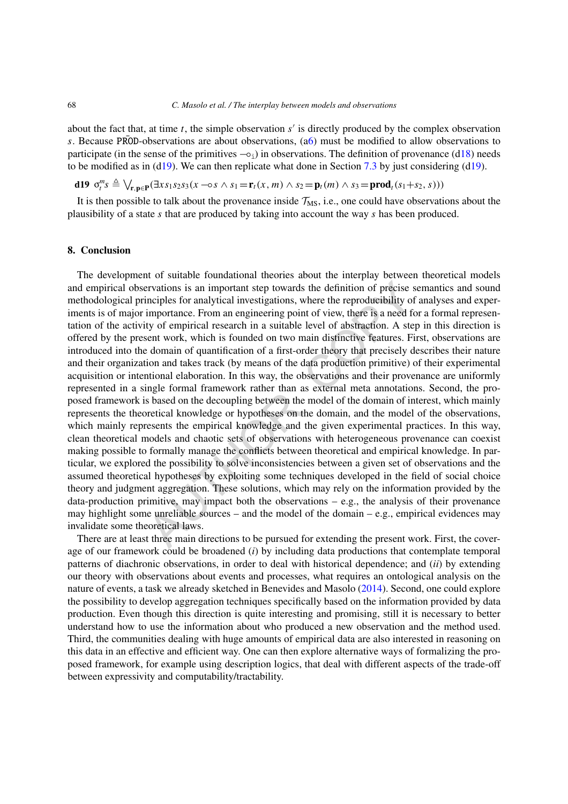about the fact that, at time  $t$ , the simple observation  $s'$  is directly produced by the complex observation s. Because PROD-observations are about observations, (a[6](#page-6-4)) must be modified to allow observations to participate (in the sense of the primitives  $-\circ_i$ ) in observations. The definition of provenance ([d18](#page-21-1)) needs to be modified as in  $(d19)$  $(d19)$ . We can then replicate what done in Section [7.3](#page-22-0) by just considering  $(d19)$ .

<span id="page-27-0"></span>**d19**  $\sigma_t^m s \triangleq \bigvee_{r,p \in P} (\exists x s_1 s_2 s_3 (x - \sigma s \land s_1 = r_t(x,m) \land s_2 = p_t(m) \land s_3 = \text{prod}_t (s_1 + s_2, s)))$ 

It is then possible to talk about the provenance inside  $\mathcal{T}_{MS}$ , i.e., one could have observations about the plausibility of a state *s* that are produced by taking into account the way *s* has been produced.

## **8. Conclusion**

ervations is an important step towards the definition of precise snciples for analytical investigations, where the reproducibility of importance. From an engineering point of view, there is a need for ty of empirical rese The development of suitable foundational theories about the interplay between theoretical models and empirical observations is an important step towards the definition of precise semantics and sound methodological principles for analytical investigations, where the reproducibility of analyses and experiments is of major importance. From an engineering point of view, there is a need for a formal representation of the activity of empirical research in a suitable level of abstraction. A step in this direction is offered b y the present work, which i s founded o n t w o main distincti v e features. First, observ ations are introduced into the domain o f quantification o f a first-order theory that precisely describes their nature and their organization and takes track (by means of the data production primitive) of their experimental acquisition or intentional elaboration. In this way, the observations and their provenance are uniformly represented i n a single formal frame w ork rather than as e xternal meta annotations. Second, the proposed framework is based on the decoupling between the model of the domain of interest, which mainly represents the theoretical knowledge or hypotheses on the domain, and the model of the observations, which mainly represents the empirical knowledge and the given experimental practices. In this way, clean theoretical models and chaotic sets of observ ations with heterogeneous pro v enance can coe xist making possible to formally manage the conflicts between theoretical and empirical knowledge. In particular, we explored the possibility to solve inconsistencies between a given set of observations and the assumed theoretical hypotheses b y exploiting some techniques d e veloped i n the field of social choice theory and judgment aggregation. These solutions, which may rely on the information provided by the data-production primitive, may impact both the observations – e.g., the analysis of their provenance may highlight some unreliable sources – and the model o f the domain – e.g., empirical e vidences may inv alidate some theoretical laws.

There are at least three main directions to be pursued for extending the present work. First, the coverage of our framework could be broadened (i) by including data productions that contemplate temporal patterns of diachronic observations, in order to deal with historical dependence; and (ii) by extending our theory with observations about events and processes, what requires an ontological analysis on the nature of events, a task we already sketched in Benevides and Masolo [\(2014](#page-28-3)). Second, one could explore the possibility to develop aggregation techniques specifically based on the information provided by data production. Even though this direction is quite interesting and promising, still it is necessary to better understand how to use the information about who produced a new observation and the method used. Third, the communities dealing with huge amounts o f empirical data are also interested i n reasoning on this data in an effective and efficient way. One can then explore alternative ways of formalizing the proposed framework, for example using description logics, that deal with different aspects of the trade-off between expressivity and computability/tractability .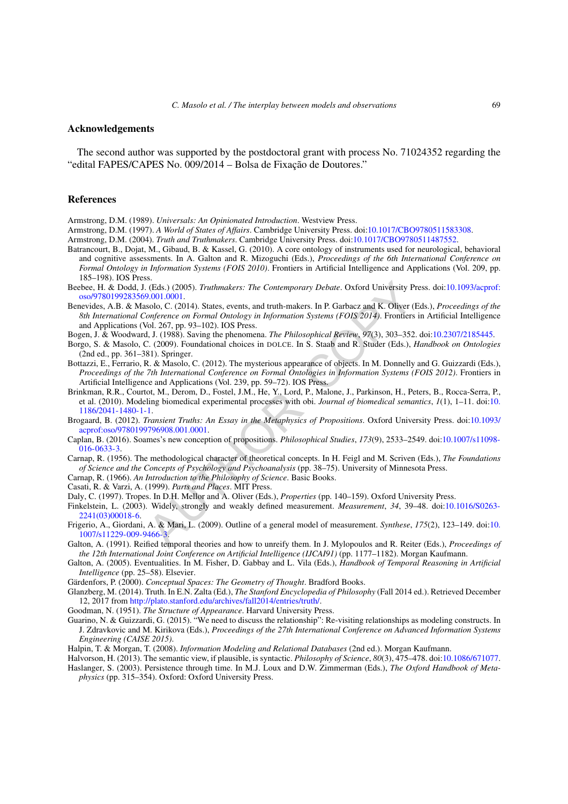#### **Acknowledgements**

The second author was supported by the postdoctoral grant with process No. 71024352 regarding the "edital FAPES/CAPES No. 009/2014 – Bolsa de Fixação de Doutores. "

## **Refer ences**

<span id="page-28-4"></span>Armstrong, D.M. (1989). *Universals: An Opinionated Introduction*. Westview Press.

<span id="page-28-16"></span>Armstrong, D.M. (1997). *A World of States of Affairs* . Cambridge Uni versity Press. doi[:10.1017/CBO9780511583308](http://dx.doi.org/10.1017/CBO9780511583308) .

- <span id="page-28-17"></span>Armstrong, D.M. (2004). *Truth and Truthmakers* . Cambridge Uni versity Press. doi[:10.1017/CBO9780511487552](http://dx.doi.org/10.1017/CBO9780511487552) .
- <span id="page-28-1"></span>Batrancourt, B., Dojat, M., Gibaud, B. & Kassel, G. (2010). A core ontology of instruments used for neurological, behavioral and cognitive assessments. In A. Galton and R. Mizoguchi (Eds.), Proceedings of the 6th International Conference on Formal Ontology in Information Systems (FOIS 2010). Frontiers in Artificial Intelligence and Applications (Vol. 209, pp. 185–198). IOS Press.
- <span id="page-28-22"></span>Beebee, H. & Dodd, J. (Eds.) (2005). *Truthmakers: The Contemporary Debate* . Oxford Uni v ersity Press. doi[:10.1093/acprof:](http://dx.doi.org/10.1093/acprof:oso/9780199283569.001.0001) [oso/9780199283569.001.0001](http://dx.doi.org/10.1093/acprof:oso/9780199283569.001.0001) .
- <span id="page-28-3"></span>Benevides, A.B. & Masolo, C. (2014). States, events, and truth-makers. In P. Garbacz and K. Oliver (Eds.), *Proceedings of the 8th International Conference on Formal Ontology in Information Systems (FOIS 2014)* . Frontiers in Artificial Intelligence and Applications (Vol. 267, pp. 93–102). IOS Press.
- <span id="page-28-0"></span>Bogen, J. & Woodward, J. (1988). Saving the phenomena. *The Philosophical Review*, 97(3), 303-352. doi[:10.2307/2185445](http://dx.doi.org/10.2307/2185445).
- <span id="page-28-25"></span>Borgo, S. & Masolo, C. (2009). Foundational choices in DOLCE . I n S . Staab and R . Studer (Eds.), *Handbook on Ontologies* (2nd ed., pp. 361–381). Springer.
- <span id="page-28-20"></span><span id="page-28-2"></span>Bottazzi, E., Ferrario, R. & Masolo, C. (2012). The mysterious appearance of objects. In M. Donnelly and G. Guizzardi (Eds.), *Proceedings of the 7th International Conference on Formal Ontologies in Information Systems (FOIS 2012)* . Frontiers in Artificial Intelligence and Applications (Vol. 239, pp. 59–72). IOS Press.
- (Eds.) (2005). *Truthmakers: The Contemporary Debate.* Oxford University P<br>  $9.001.0001$ .<br>  $9.001.0000$ .<br>  $8.000, C. (2014)$ . States, events, and truth-makers. In P. Garbacz and K. Oliver (*onference on Formal Ontology in I* Brinkman, R.R., Courtot, M., Derom, D., Fostel, J.M., He, Y., Lord, P., Malone, J., Parkinson, H., Peters, B., Rocca-Serra, P., et al. (2010). Modeling biomedical experimental processes with obi. *Journal of biomedical semantics* , *1*(1), 1–11. doi[:10.](http://dx.doi.org/10.1186/2041-1480-1-1) [1186/2041-1480-1-](http://dx.doi.org/10.1186/2041-1480-1-1) 1 .
- <span id="page-28-8"></span>Brogaard, B. (2012). *Transient Truths: A n Essay i n the Metaphysics of Propositions* . Oxford Uni v ersity Press. doi[:10.1093/](http://dx.doi.org/10.1093/acprof:oso/9780199796908.001.0001) [acprof:oso/9780199796908.001.0001](http://dx.doi.org/10.1093/acprof:oso/9780199796908.001.0001) .
- <span id="page-28-7"></span>Caplan, B . (2016). Soames' s n e w conception o f propositions. *Philosophical Studies* , *173*(9), 2533–2549. doi[:10.1007/s11098-](http://dx.doi.org/10.1007/s11098-016-0633-3) [016-0633-](http://dx.doi.org/10.1007/s11098-016-0633-3) 3 .
- <span id="page-28-18"></span>Carnap, R . (1956). The methodological character of theoretical concepts. I n H . Feigl and M . Scri ven (Eds.), *The Foundations* of Science and the Concepts of Psychology and Psychoanalysis (pp. 38–75). University of Minnesota Press.
- <span id="page-28-19"></span>Carnap, R . (1966). *An Introduction t o the Philosophy of Science* . Basic Books.
- <span id="page-28-11"></span>Casati, R. & Varzi, A . (1999). *Parts and Places* . MIT Press.
- <span id="page-28-5"></span>Daly, C. (1997). Tropes. In D.H. Mellor and A. Oliver (Eds.), *Properties* (pp. 140–159). Oxford University Press.
- <span id="page-28-23"></span>Finkelstein, L. (2003). Widely, strongly and weakly defined measurement. *Measurement*, 34, 39–48. doi[:10.1016/S0263-](http://dx.doi.org/10.1016/S0263-2241(03)00018-6) [2241\(03\)00018-](http://dx.doi.org/10.1016/S0263-2241(03)00018-6) 6 .
- <span id="page-28-24"></span>Frigerio, A., Giordani, A . & Mari, L. (2009). Outline o f a general model o f measurement. *Synthese* , *175*(2), 123–149. doi[:10.](http://dx.doi.org/10.1007/s11229-009-9466-3) [1007/s11229-009-9466-](http://dx.doi.org/10.1007/s11229-009-9466-3) 3 .
- <span id="page-28-13"></span>Galton, A. (1991). Reified temporal theories and how to unreify them. In J. Mylopoulos and R. Reiter (Eds.), *Proceedings of the 12th International Joint Conference on Artificial Intelligence (IJCAI91)* (pp. 1177–1182). Morgan Kaufmann.
- <span id="page-28-12"></span>Galton, A. (2005). E v entualities. In M. Fisher, D . Gabbay and L. Vila (Eds.), *Handbook of Temporal Reasoning in Artificial* Intelligence (pp. 25-58). Elsevier.
- <span id="page-28-10"></span>Gärdenfors, P. (2000). *Conceptual Spaces: The Geometry of Thought* . Bradford Books.
- <span id="page-28-26"></span>Glanzberg, M. (2014). Truth. In E.N. Zalta (Ed.), *The Stanford Encyclopedia of Philosophy* (Fall 2014 ed.). Retrieved December 12, 2017 from [http://plato.stanford.edu/archi](http://plato.stanford.edu/archives/fall2014/entries/truth/) ves/fall2014/entries/truth/ .
- <span id="page-28-6"></span>Goodman, N. (1951). *The Structure of Appearance*. Harvard University Press.
- <span id="page-28-15"></span>Guarino, N. & Guizzardi, G. (2015). "We need to discuss the relationship": Re-visiting relationships as modeling constructs. In J. Zdravk o vic and M . Kirik o v a (Eds.), *Proceedings of the 27th International Conference on Advanced Information Systems Engineering (CAISE 2015)* .
- <span id="page-28-14"></span>Halpin, T . & Mor gan, T . (2008). *Information Modeling and Relational Databases* (2nd ed.). Morgan Kaufmann.
- <span id="page-28-21"></span>Halvorson, H. (2013). The semantic view, if plausible, is syntactic. *Philosophy of Science*, 80(3), 475–478. doi[:10.1086/671077](http://dx.doi.org/10.1086/671077).
- <span id="page-28-9"></span>Haslanger, S. (2003). Persistence through time. In M.J. Loux and D.W. Zimmerman (Eds.), *The Oxford Handbook of Metaphysics* (pp. 315–354). Oxford: Oxford University Press.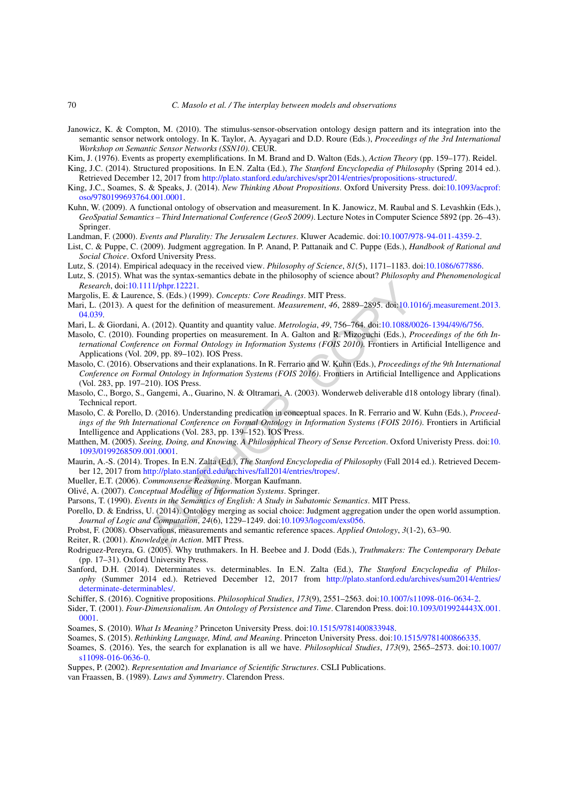- <span id="page-29-2"></span>Janowicz, K. & Compton, M. (2010). The stimulus-sensor-observation ontology design pattern and its integration into the semantic sensor network ontology. In K. Taylor, A . Ayyagari and D.D. Roure (Eds.), *Proceedings of the 3 rd International Workshop on Semantic Sensor Networks (SSN10)*. C E U R .
- <span id="page-29-17"></span>Kim, J. (1976). Events as property exemplifications. In M. Brand and D. Walton (Eds.), *Action Theory* (pp. 159–177). Reidel.
- <span id="page-29-12"></span>King, J.C. (2014). Structured propositions. I n E.N. Zalta (Ed.), *The Stanford Encyclopedia of Philosophy* (Spring 2014 ed.). Retrieved December 12, 2017 from http://plato.stanford.edu/archives/spr2014/entries/propositions-structured/.
- <span id="page-29-9"></span>King, J.C., Soames, S. & Speaks, J. (2014). *Ne w Thinking About Propositions* . Oxford Uni v ersity Press. doi[:10.1093/acprof:](http://dx.doi.org/10.1093/acprof:oso/9780199693764.001.0001) [oso/9780199693764.001.0001](http://dx.doi.org/10.1093/acprof:oso/9780199693764.001.0001) .
- <span id="page-29-0"></span>Kuhn, W. (2009). A functional ontology of observation and measurement. In K. Janowicz, M. Raubal and S. Levashkin (Eds.), *GeoSpatial Semantics – Third International Conference (GeoS 2009)* . Lecture Notes in Computer Science 5892 (pp. 26–43). Springer.
- <span id="page-29-21"></span>Landman, F. (2000). *Events and Plurality: The Jerusalem Lectures*. Kluwer Academic. doi[:10.1007/978-94-011-4359-](http://dx.doi.org/10.1007/978-94-011-4359-2)2.
- <span id="page-29-3"></span>List, C. & Puppe, C. (2009). Judgment aggregation. In P. Anand, P. Pattanaik and C. Puppe (Eds.), *Handbook of Rational and* Social Choice. Oxford University Press.
- <span id="page-29-27"></span>Lutz, S. (2014). Empirical adequacy in the received view. *Philosophy of Science*, 81(5), 1171–1183. doi[:10.1086/677886](http://dx.doi.org/10.1086/677886).
- <span id="page-29-26"></span>Lutz, S. (2015). What was the syntax-semantics debate in the philosophy of science about? *Philosophy and Phenomenological Researc h* , doi[:10.1111/phpr.12221](http://dx.doi.org/10.1111/phpr.12221) .
- <span id="page-29-5"></span>Margolis, E . & Laurence, S. (Eds.) (1999). *Concepts: Core Readings* . MIT Press.
- <span id="page-29-29"></span>Mari, L. (2013). A quest for the definition of measurement. *Measurement*, 46, 2889–2895. doi[:10.1016/j.measurement.2013.](http://dx.doi.org/10.1016/j.measurement.2013.04.039) [04.039](http://dx.doi.org/10.1016/j.measurement.2013.04.039) .
- <span id="page-29-30"></span>Mari, L. & Giordani, A. (2012). Quantity and quantity value. *Metrologia*, 49, 756–764. doi[:10.1088/0026-1394/49/6/756](http://dx.doi.org/10.1088/0026-1394/49/6/756).
- <span id="page-29-31"></span>Masolo, C. (2010). Founding properties on measurement. In A. Galton and R. Mizoguchi (Eds.), *Proceedings of the 6th International Conference on Formal Ontology in Information Systems (FOIS 2010)*. Frontiers in Artificial Intelligence and Applications (Vol. 209, pp. 89–102). IOS Press.
- <span id="page-29-13"></span>Masolo, C . (2016). Observ ations and their explanations. I n R . Ferrario and W. Kuhn (Eds.), *Proceedings of the 9th International Conference on Formal Ontology in Information Systems (FOIS 2016)* . Frontiers in Artificial Intelligence and Applications (Vol. 283, pp. 197–210). IOS Press.
- <span id="page-29-23"></span><span id="page-29-16"></span>Masolo, C., Borgo, S., Gangemi, A., Guarino, N. & Oltramari, A. (2003). Wonderweb deliverable d18 ontology library (final). Technical report.
- 11/phpr.12221.<br>
e.g. S. (Eds.) (1999). *Concepts: Core Readings.* MIT Press.<br>
e.g. S. (Eds.) (1999). *Concepts: Core Readings.* MIT Press.<br>
1. (2012). Quantity and quantity value. *Metrologia*, 49, 756–764. doi:10.1088/0<br> Masolo, C. & Porello, D. (2016). Understanding predication in conceptual spaces. In R. Ferrario and W. Kuhn (Eds.), *Proceedings of the 9th International Conference on Formal Ontology in Information Systems (FOIS 2016)*. Frontiers in Artificial Intelligence and Applications (Vol. 283, pp. 139–152). IOS Press.
- <span id="page-29-6"></span>Matthen, M. (2005). Seeing, Doing, and Knowing. A Philosophical Theory of Sense Percetion. Oxford Univeristy Press. doi[:10.](http://dx.doi.org/10.1093/0199268509.001.0001) [1093/0199268509.001.0001](http://dx.doi.org/10.1093/0199268509.001.0001) .
- <span id="page-29-4"></span>Maurin, A.-S. (2014). Tropes. In E.N. Zalta (Ed.), *The Stanford Encyclopedia of Philosophy* (Fall 2014 ed.). Retrie ved December 12, 2017 from http://plato.stanford.edu/archives/fall2014/entries/tropes/.
- <span id="page-29-19"></span>Mueller, E.T . (2006). *Commonsense Reasoning* . Morgan Kaufmann.
- <span id="page-29-22"></span>Oli vé, A. (2007). *Conceptual Modeling of Information Systems* . Springer.
- <span id="page-29-20"></span>Parsons, T. (1990). *Events in the Semantics of English: A Study in Subatomic Semantics. MIT Press.*
- <span id="page-29-32"></span>Porello, D. & Endriss, U. (2014). Ontology merging as social choice: Judgment aggregation under the open world assumption. *Journal of Logic and Computation* , *24*(6), 1229–1249. doi:10.1093/logcom/exs056 .
- <span id="page-29-1"></span>Probst, F. (2008). Observations, measurements and semantic reference spaces. *Applied Ontology*, 3(1-2), 63–90.
- <span id="page-29-18"></span>Reiter, R. (2001). *Knowledg e i n Action* . MIT Press.
- <span id="page-29-28"></span>Rodriguez-Pereyra, G. (2005). Why truthmakers. In H. Beebee and J . Dodd (Eds.), *Truthmakers: The Contemporary Debate* (pp. 17-31). Oxford University Press.
- <span id="page-29-15"></span>Sanford, D.H. (2014). Determinates vs. determinables. In E.N. Zalta (Ed.), *The Stanford Encyclopedia of Philosophy* (Summer 2014 ed.). Retrieved December 12, 2017 from [http://plato.stanford.edu/archives/sum2014/entries/](http://plato.stanford.edu/archives/sum2014/entries/determinate-determinables/) [determinate-determinables/](http://plato.stanford.edu/archives/sum2014/entries/determinate-determinables/) .
- <span id="page-29-10"></span>Schiffer, S. (2016). Cognitive propositions. *Philosophical Studies*, 173(9), 2551–2563. doi[:10.1007/s11098-016-0634-](http://dx.doi.org/10.1007/s11098-016-0634-2)2.
- <span id="page-29-14"></span>Sider, T . (2001). *Four-Dimensionalism. An Ontology of Pe rsistence and Time* . Clarendon Press. doi[:10.1093/019924443X.001.](http://dx.doi.org/10.1093/019924443X.001.0001) [0001](http://dx.doi.org/10.1093/019924443X.001.0001) .
- <span id="page-29-7"></span>Soames, S. (2010). *What Is Meaning?* Princeton University Press. doi[:10.1515/9781400833948](http://dx.doi.org/10.1515/9781400833948).
- <span id="page-29-8"></span>Soames, S. (2015). *Rethinking Language, Mind, and Meaning*. Princeton University Press. doi[:10.1515/9781400866335](http://dx.doi.org/10.1515/9781400866335).
- <span id="page-29-11"></span>Soames, S. (2016). Yes, the search for explanation is all we have. *Philosophical Studies*, 173(9), 2565–2573. doi[:10.1007/](http://dx.doi.org/10.1007/s11098-016-0636-0) [s11098-016-0636-](http://dx.doi.org/10.1007/s11098-016-0636-0) 0 .
- <span id="page-29-24"></span>Suppes, P. (2002). *Representation and Invariance of Scientific Structure s* . CSLI Publications.
- <span id="page-29-25"></span>v a n Fraassen, B. (1989). *Laws and Symmetry* . Clarendon Press.